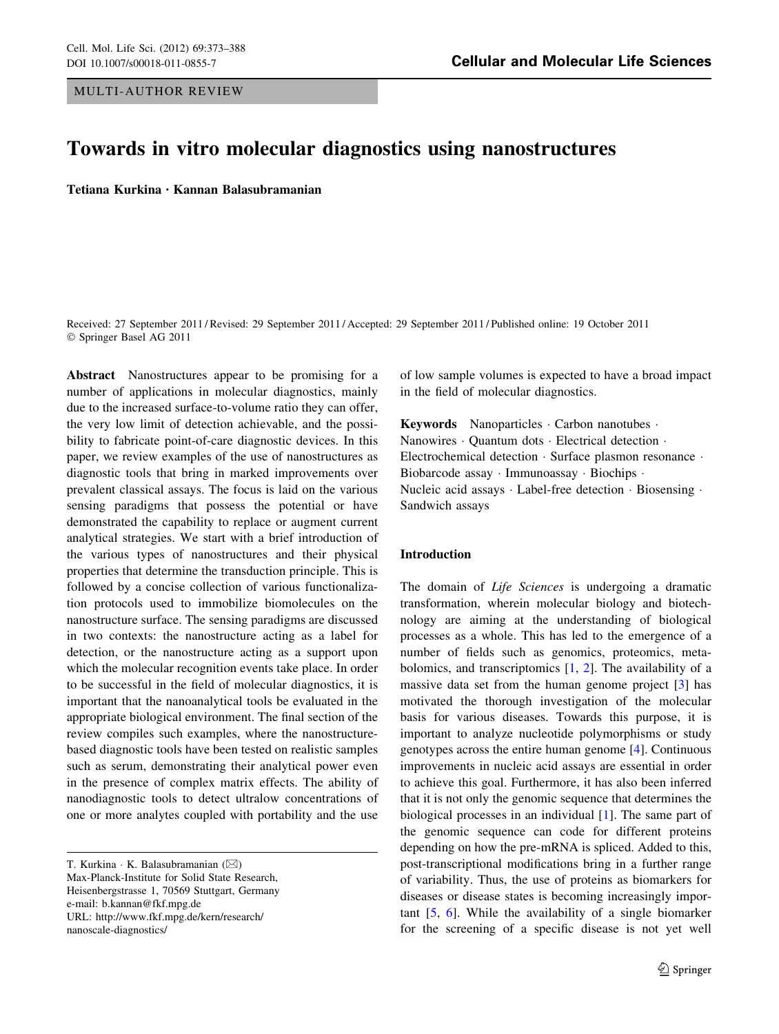# Towards in vitro molecular diagnostics using nanostructures

Tetiana Kurkina • Kannan Balasubramanian

Received: 27 September 2011 / Revised: 29 September 2011 / Accepted: 29 September 2011 / Published online: 19 October 2011 © Springer Basel AG 2011

Abstract Nanostructures appear to be promising for a number of applications in molecular diagnostics, mainly due to the increased surface-to-volume ratio they can offer, the very low limit of detection achievable, and the possibility to fabricate point-of-care diagnostic devices. In this paper, we review examples of the use of nanostructures as diagnostic tools that bring in marked improvements over prevalent classical assays. The focus is laid on the various sensing paradigms that possess the potential or have demonstrated the capability to replace or augment current analytical strategies. We start with a brief introduction of the various types of nanostructures and their physical properties that determine the transduction principle. This is followed by a concise collection of various functionalization protocols used to immobilize biomolecules on the nanostructure surface. The sensing paradigms are discussed in two contexts: the nanostructure acting as a label for detection, or the nanostructure acting as a support upon which the molecular recognition events take place. In order to be successful in the field of molecular diagnostics, it is important that the nanoanalytical tools be evaluated in the appropriate biological environment. The final section of the review compiles such examples, where the nanostructurebased diagnostic tools have been tested on realistic samples such as serum, demonstrating their analytical power even in the presence of complex matrix effects. The ability of nanodiagnostic tools to detect ultralow concentrations of one or more analytes coupled with portability and the use

T. Kurkina  $\cdot$  K. Balasubramanian ( $\boxtimes$ ) Max-Planck-Institute for Solid State Research, Heisenbergstrasse 1, 70569 Stuttgart, Germany e-mail: b.kannan@fkf.mpg.de URL: http://www.fkf.mpg.de/kern/research/ nanoscale-diagnostics/

of low sample volumes is expected to have a broad impact in the field of molecular diagnostics.

Keywords Nanoparticles Carbon nanotubes · Nanowires - Quantum dots - Electrical detection - Electrochemical detection · Surface plasmon resonance · Biobarcode assay - Immunoassay - Biochips - Nucleic acid assays · Label-free detection · Biosensing · Sandwich assays

## Introduction

The domain of *Life Sciences* is undergoing a dramatic transformation, wherein molecular biology and biotechnology are aiming at the understanding of biological processes as a whole. This has led to the emergence of a number of fields such as genomics, proteomics, metabolomics, and transcriptomics [\[1](#page-12-0), [2](#page-12-0)]. The availability of a massive data set from the human genome project [[3\]](#page-12-0) has motivated the thorough investigation of the molecular basis for various diseases. Towards this purpose, it is important to analyze nucleotide polymorphisms or study genotypes across the entire human genome [[4\]](#page-12-0). Continuous improvements in nucleic acid assays are essential in order to achieve this goal. Furthermore, it has also been inferred that it is not only the genomic sequence that determines the biological processes in an individual [\[1](#page-12-0)]. The same part of the genomic sequence can code for different proteins depending on how the pre-mRNA is spliced. Added to this, post-transcriptional modifications bring in a further range of variability. Thus, the use of proteins as biomarkers for diseases or disease states is becoming increasingly important [\[5](#page-12-0), [6](#page-12-0)]. While the availability of a single biomarker for the screening of a specific disease is not yet well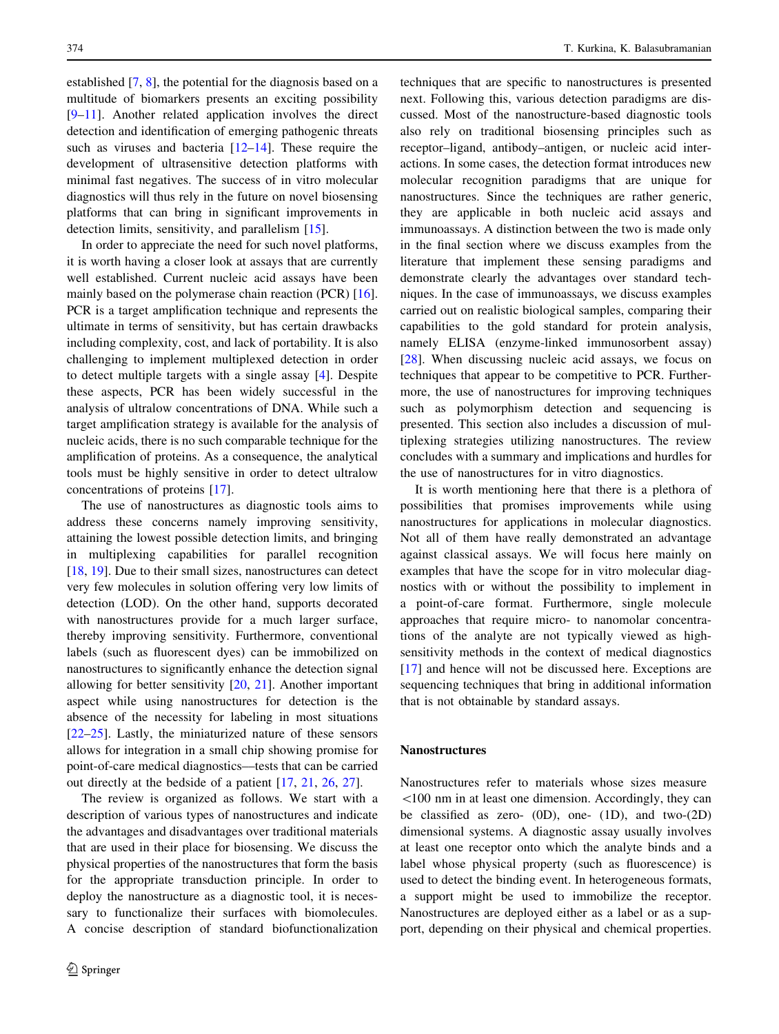established [\[7](#page-12-0), [8](#page-12-0)], the potential for the diagnosis based on a multitude of biomarkers presents an exciting possibility [\[9–11](#page-12-0)]. Another related application involves the direct detection and identification of emerging pathogenic threats such as viruses and bacteria  $[12-14]$ . These require the development of ultrasensitive detection platforms with minimal fast negatives. The success of in vitro molecular diagnostics will thus rely in the future on novel biosensing platforms that can bring in significant improvements in detection limits, sensitivity, and parallelism [[15\]](#page-12-0).

In order to appreciate the need for such novel platforms, it is worth having a closer look at assays that are currently well established. Current nucleic acid assays have been mainly based on the polymerase chain reaction (PCR) [\[16](#page-12-0)]. PCR is a target amplification technique and represents the ultimate in terms of sensitivity, but has certain drawbacks including complexity, cost, and lack of portability. It is also challenging to implement multiplexed detection in order to detect multiple targets with a single assay [\[4\]](#page-12-0). Despite these aspects, PCR has been widely successful in the analysis of ultralow concentrations of DNA. While such a target amplification strategy is available for the analysis of nucleic acids, there is no such comparable technique for the amplification of proteins. As a consequence, the analytical tools must be highly sensitive in order to detect ultralow concentrations of proteins [\[17](#page-12-0)].

The use of nanostructures as diagnostic tools aims to address these concerns namely improving sensitivity, attaining the lowest possible detection limits, and bringing in multiplexing capabilities for parallel recognition [\[18](#page-12-0), [19](#page-12-0)]. Due to their small sizes, nanostructures can detect very few molecules in solution offering very low limits of detection (LOD). On the other hand, supports decorated with nanostructures provide for a much larger surface, thereby improving sensitivity. Furthermore, conventional labels (such as fluorescent dyes) can be immobilized on nanostructures to significantly enhance the detection signal allowing for better sensitivity [[20,](#page-12-0) [21\]](#page-12-0). Another important aspect while using nanostructures for detection is the absence of the necessity for labeling in most situations [\[22–25](#page-12-0)]. Lastly, the miniaturized nature of these sensors allows for integration in a small chip showing promise for point-of-care medical diagnostics––tests that can be carried out directly at the bedside of a patient [[17,](#page-12-0) [21](#page-12-0), [26](#page-12-0), [27](#page-12-0)].

The review is organized as follows. We start with a description of various types of nanostructures and indicate the advantages and disadvantages over traditional materials that are used in their place for biosensing. We discuss the physical properties of the nanostructures that form the basis for the appropriate transduction principle. In order to deploy the nanostructure as a diagnostic tool, it is necessary to functionalize their surfaces with biomolecules. A concise description of standard biofunctionalization techniques that are specific to nanostructures is presented next. Following this, various detection paradigms are discussed. Most of the nanostructure-based diagnostic tools also rely on traditional biosensing principles such as receptor–ligand, antibody–antigen, or nucleic acid interactions. In some cases, the detection format introduces new molecular recognition paradigms that are unique for nanostructures. Since the techniques are rather generic, they are applicable in both nucleic acid assays and immunoassays. A distinction between the two is made only in the final section where we discuss examples from the literature that implement these sensing paradigms and demonstrate clearly the advantages over standard techniques. In the case of immunoassays, we discuss examples carried out on realistic biological samples, comparing their capabilities to the gold standard for protein analysis, namely ELISA (enzyme-linked immunosorbent assay) [\[28](#page-12-0)]. When discussing nucleic acid assays, we focus on techniques that appear to be competitive to PCR. Furthermore, the use of nanostructures for improving techniques such as polymorphism detection and sequencing is presented. This section also includes a discussion of multiplexing strategies utilizing nanostructures. The review concludes with a summary and implications and hurdles for the use of nanostructures for in vitro diagnostics.

It is worth mentioning here that there is a plethora of possibilities that promises improvements while using nanostructures for applications in molecular diagnostics. Not all of them have really demonstrated an advantage against classical assays. We will focus here mainly on examples that have the scope for in vitro molecular diagnostics with or without the possibility to implement in a point-of-care format. Furthermore, single molecule approaches that require micro- to nanomolar concentrations of the analyte are not typically viewed as highsensitivity methods in the context of medical diagnostics [\[17](#page-12-0)] and hence will not be discussed here. Exceptions are sequencing techniques that bring in additional information that is not obtainable by standard assays.

#### Nanostructures

Nanostructures refer to materials whose sizes measure  $100$  nm in at least one dimension. Accordingly, they can be classified as zero- (0D), one- (1D), and two-(2D) dimensional systems. A diagnostic assay usually involves at least one receptor onto which the analyte binds and a label whose physical property (such as fluorescence) is used to detect the binding event. In heterogeneous formats, a support might be used to immobilize the receptor. Nanostructures are deployed either as a label or as a support, depending on their physical and chemical properties.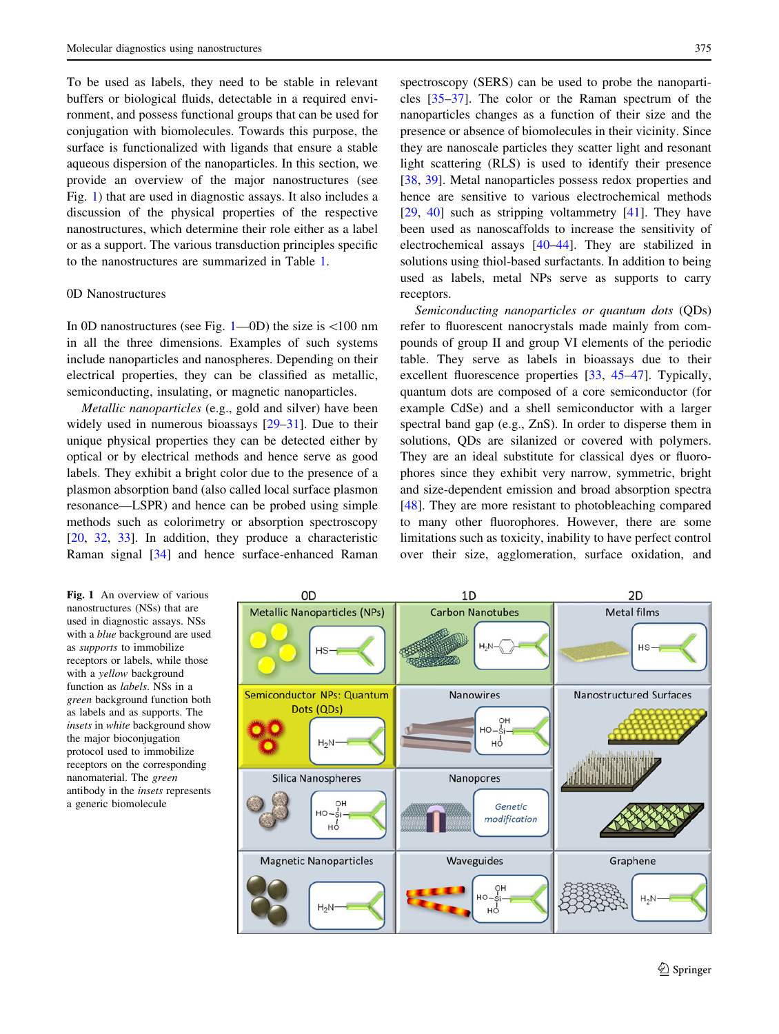<span id="page-2-0"></span>To be used as labels, they need to be stable in relevant buffers or biological fluids, detectable in a required environment, and possess functional groups that can be used for conjugation with biomolecules. Towards this purpose, the surface is functionalized with ligands that ensure a stable aqueous dispersion of the nanoparticles. In this section, we provide an overview of the major nanostructures (see Fig. 1) that are used in diagnostic assays. It also includes a discussion of the physical properties of the respective nanostructures, which determine their role either as a label or as a support. The various transduction principles specific to the nanostructures are summarized in Table [1.](#page-3-0)

## 0D Nanostructures

In 0D nanostructures (see Fig.  $1$ —0D) the size is  $<100$  nm in all the three dimensions. Examples of such systems include nanoparticles and nanospheres. Depending on their electrical properties, they can be classified as metallic, semiconducting, insulating, or magnetic nanoparticles.

Metallic nanoparticles (e.g., gold and silver) have been widely used in numerous bioassays [\[29–31](#page-12-0)]. Due to their unique physical properties they can be detected either by optical or by electrical methods and hence serve as good labels. They exhibit a bright color due to the presence of a plasmon absorption band (also called local surface plasmon resonance––LSPR) and hence can be probed using simple methods such as colorimetry or absorption spectroscopy [\[20](#page-12-0), [32](#page-12-0), [33](#page-12-0)]. In addition, they produce a characteristic Raman signal [[34\]](#page-12-0) and hence surface-enhanced Raman

spectroscopy (SERS) can be used to probe the nanoparticles [\[35–37](#page-12-0)]. The color or the Raman spectrum of the nanoparticles changes as a function of their size and the presence or absence of biomolecules in their vicinity. Since they are nanoscale particles they scatter light and resonant light scattering (RLS) is used to identify their presence [\[38](#page-12-0), [39](#page-12-0)]. Metal nanoparticles possess redox properties and hence are sensitive to various electrochemical methods [\[29](#page-12-0), [40\]](#page-12-0) such as stripping voltammetry [[41\]](#page-13-0). They have been used as nanoscaffolds to increase the sensitivity of electrochemical assays [[40](#page-12-0)[–44](#page-13-0)]. They are stabilized in solutions using thiol-based surfactants. In addition to being used as labels, metal NPs serve as supports to carry receptors.

Semiconducting nanoparticles or quantum dots (QDs) refer to fluorescent nanocrystals made mainly from compounds of group II and group VI elements of the periodic table. They serve as labels in bioassays due to their excellent fluorescence properties [\[33](#page-12-0), [45–47\]](#page-13-0). Typically, quantum dots are composed of a core semiconductor (for example CdSe) and a shell semiconductor with a larger spectral band gap (e.g., ZnS). In order to disperse them in solutions, QDs are silanized or covered with polymers. They are an ideal substitute for classical dyes or fluorophores since they exhibit very narrow, symmetric, bright and size-dependent emission and broad absorption spectra [\[48](#page-13-0)]. They are more resistant to photobleaching compared to many other fluorophores. However, there are some limitations such as toxicity, inability to have perfect control over their size, agglomeration, surface oxidation, and

Fig. 1 An overview of various nanostructures (NSs) that are used in diagnostic assays. NSs with a blue background are used as supports to immobilize receptors or labels, while those with a *yellow* background function as labels. NSs in a green background function both as labels and as supports. The insets in white background show the major bioconjugation protocol used to immobilize receptors on the corresponding nanomaterial. The green antibody in the insets represents a generic biomolecule

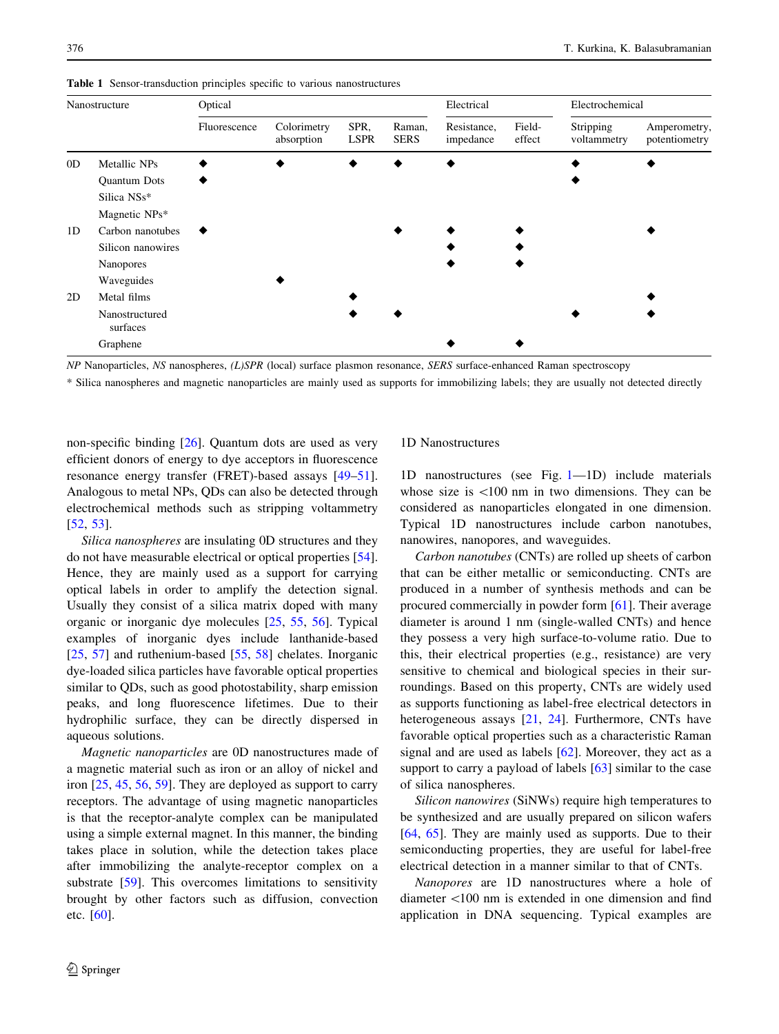| Nanostructure  |                            | Optical      |                           |                     |                       | Electrical               |                  | Electrochemical          |                               |
|----------------|----------------------------|--------------|---------------------------|---------------------|-----------------------|--------------------------|------------------|--------------------------|-------------------------------|
|                |                            | Fluorescence | Colorimetry<br>absorption | SPR,<br><b>LSPR</b> | Raman,<br><b>SERS</b> | Resistance,<br>impedance | Field-<br>effect | Stripping<br>voltammetry | Amperometry,<br>potentiometry |
| 0 <sub>D</sub> | Metallic NPs               |              |                           |                     |                       |                          |                  |                          |                               |
|                | Quantum Dots               |              |                           |                     |                       |                          |                  |                          |                               |
|                | Silica NSs*                |              |                           |                     |                       |                          |                  |                          |                               |
|                | Magnetic NPs*              |              |                           |                     |                       |                          |                  |                          |                               |
| 1D             | Carbon nanotubes           |              |                           |                     |                       |                          |                  |                          |                               |
|                | Silicon nanowires          |              |                           |                     |                       |                          |                  |                          |                               |
|                | <b>Nanopores</b>           |              |                           |                     |                       |                          |                  |                          |                               |
|                | Waveguides                 |              |                           |                     |                       |                          |                  |                          |                               |
| 2D             | Metal films                |              |                           |                     |                       |                          |                  |                          |                               |
|                | Nanostructured<br>surfaces |              |                           |                     |                       |                          |                  |                          |                               |
|                | Graphene                   |              |                           |                     |                       |                          |                  |                          |                               |

<span id="page-3-0"></span>Table 1 Sensor-transduction principles specific to various nanostructures

NP Nanoparticles, NS nanospheres, (L)SPR (local) surface plasmon resonance, SERS surface-enhanced Raman spectroscopy

\* Silica nanospheres and magnetic nanoparticles are mainly used as supports for immobilizing labels; they are usually not detected directly

non-specific binding [\[26](#page-12-0)]. Quantum dots are used as very efficient donors of energy to dye acceptors in fluorescence resonance energy transfer (FRET)-based assays [\[49–51](#page-13-0)]. Analogous to metal NPs, QDs can also be detected through electrochemical methods such as stripping voltammetry [\[52](#page-13-0), [53](#page-13-0)].

Silica nanospheres are insulating 0D structures and they do not have measurable electrical or optical properties [\[54](#page-13-0)]. Hence, they are mainly used as a support for carrying optical labels in order to amplify the detection signal. Usually they consist of a silica matrix doped with many organic or inorganic dye molecules [[25,](#page-12-0) [55](#page-13-0), [56\]](#page-13-0). Typical examples of inorganic dyes include lanthanide-based [\[25](#page-12-0), [57](#page-13-0)] and ruthenium-based [\[55](#page-13-0), [58](#page-13-0)] chelates. Inorganic dye-loaded silica particles have favorable optical properties similar to QDs, such as good photostability, sharp emission peaks, and long fluorescence lifetimes. Due to their hydrophilic surface, they can be directly dispersed in aqueous solutions.

Magnetic nanoparticles are 0D nanostructures made of a magnetic material such as iron or an alloy of nickel and iron [\[25](#page-12-0), [45](#page-13-0), [56](#page-13-0), [59\]](#page-13-0). They are deployed as support to carry receptors. The advantage of using magnetic nanoparticles is that the receptor-analyte complex can be manipulated using a simple external magnet. In this manner, the binding takes place in solution, while the detection takes place after immobilizing the analyte-receptor complex on a substrate [[59\]](#page-13-0). This overcomes limitations to sensitivity brought by other factors such as diffusion, convection etc. [\[60](#page-13-0)].

#### 1D Nanostructures

1D nanostructures (see Fig. [1](#page-2-0)––1D) include materials whose size is  $\langle 100 \text{ nm} \rangle$  in two dimensions. They can be considered as nanoparticles elongated in one dimension. Typical 1D nanostructures include carbon nanotubes, nanowires, nanopores, and waveguides.

Carbon nanotubes (CNTs) are rolled up sheets of carbon that can be either metallic or semiconducting. CNTs are produced in a number of synthesis methods and can be procured commercially in powder form [\[61](#page-13-0)]. Their average diameter is around 1 nm (single-walled CNTs) and hence they possess a very high surface-to-volume ratio. Due to this, their electrical properties (e.g., resistance) are very sensitive to chemical and biological species in their surroundings. Based on this property, CNTs are widely used as supports functioning as label-free electrical detectors in heterogeneous assays [\[21](#page-12-0), [24](#page-12-0)]. Furthermore, CNTs have favorable optical properties such as a characteristic Raman signal and are used as labels [\[62\]](#page-13-0). Moreover, they act as a support to carry a payload of labels [[63\]](#page-13-0) similar to the case of silica nanospheres.

Silicon nanowires (SiNWs) require high temperatures to be synthesized and are usually prepared on silicon wafers [\[64](#page-13-0), [65\]](#page-13-0). They are mainly used as supports. Due to their semiconducting properties, they are useful for label-free electrical detection in a manner similar to that of CNTs.

Nanopores are 1D nanostructures where a hole of diameter \100 nm is extended in one dimension and find application in DNA sequencing. Typical examples are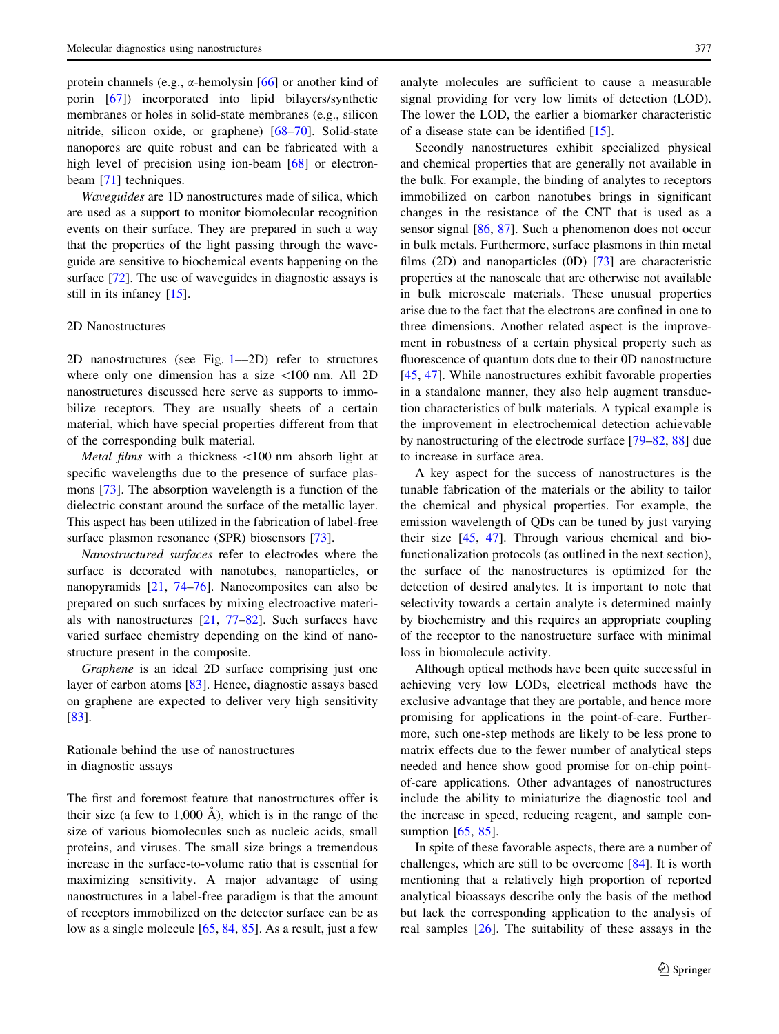protein channels (e.g., a-hemolysin [[66\]](#page-13-0) or another kind of porin [[67\]](#page-13-0)) incorporated into lipid bilayers/synthetic membranes or holes in solid-state membranes (e.g., silicon nitride, silicon oxide, or graphene) [\[68–70](#page-13-0)]. Solid-state nanopores are quite robust and can be fabricated with a high level of precision using ion-beam [[68\]](#page-13-0) or electronbeam [\[71](#page-13-0)] techniques.

Waveguides are 1D nanostructures made of silica, which are used as a support to monitor biomolecular recognition events on their surface. They are prepared in such a way that the properties of the light passing through the waveguide are sensitive to biochemical events happening on the surface [[72\]](#page-13-0). The use of waveguides in diagnostic assays is still in its infancy [\[15\]](#page-12-0).

## 2D Nanostructures

2D nanostructures (see Fig. [1–](#page-2-0)–2D) refer to structures where only one dimension has a size  $\lt 100$  nm. All 2D nanostructures discussed here serve as supports to immobilize receptors. They are usually sheets of a certain material, which have special properties different from that of the corresponding bulk material.

Metal films with a thickness <100 nm absorb light at specific wavelengths due to the presence of surface plasmons [\[73](#page-13-0)]. The absorption wavelength is a function of the dielectric constant around the surface of the metallic layer. This aspect has been utilized in the fabrication of label-free surface plasmon resonance (SPR) biosensors [\[73](#page-13-0)].

Nanostructured surfaces refer to electrodes where the surface is decorated with nanotubes, nanoparticles, or nanopyramids [[21,](#page-12-0) [74–76](#page-13-0)]. Nanocomposites can also be prepared on such surfaces by mixing electroactive materials with nanostructures [[21,](#page-12-0) [77–82\]](#page-13-0). Such surfaces have varied surface chemistry depending on the kind of nanostructure present in the composite.

Graphene is an ideal 2D surface comprising just one layer of carbon atoms [[83\]](#page-13-0). Hence, diagnostic assays based on graphene are expected to deliver very high sensitivity [\[83](#page-13-0)].

## Rationale behind the use of nanostructures in diagnostic assays

The first and foremost feature that nanostructures offer is their size (a few to  $1,000 \text{ Å}$ ), which is in the range of the size of various biomolecules such as nucleic acids, small proteins, and viruses. The small size brings a tremendous increase in the surface-to-volume ratio that is essential for maximizing sensitivity. A major advantage of using nanostructures in a label-free paradigm is that the amount of receptors immobilized on the detector surface can be as low as a single molecule [[65,](#page-13-0) [84,](#page-13-0) [85\]](#page-13-0). As a result, just a few

analyte molecules are sufficient to cause a measurable signal providing for very low limits of detection (LOD). The lower the LOD, the earlier a biomarker characteristic of a disease state can be identified [\[15](#page-12-0)].

Secondly nanostructures exhibit specialized physical and chemical properties that are generally not available in the bulk. For example, the binding of analytes to receptors immobilized on carbon nanotubes brings in significant changes in the resistance of the CNT that is used as a sensor signal [\[86,](#page-13-0) [87\]](#page-14-0). Such a phenomenon does not occur in bulk metals. Furthermore, surface plasmons in thin metal films (2D) and nanoparticles (0D) [\[73](#page-13-0)] are characteristic properties at the nanoscale that are otherwise not available in bulk microscale materials. These unusual properties arise due to the fact that the electrons are confined in one to three dimensions. Another related aspect is the improvement in robustness of a certain physical property such as fluorescence of quantum dots due to their 0D nanostructure [\[45](#page-13-0), [47\]](#page-13-0). While nanostructures exhibit favorable properties in a standalone manner, they also help augment transduction characteristics of bulk materials. A typical example is the improvement in electrochemical detection achievable by nanostructuring of the electrode surface [[79–82,](#page-13-0) [88\]](#page-14-0) due to increase in surface area.

A key aspect for the success of nanostructures is the tunable fabrication of the materials or the ability to tailor the chemical and physical properties. For example, the emission wavelength of QDs can be tuned by just varying their size [[45,](#page-13-0) [47\]](#page-13-0). Through various chemical and biofunctionalization protocols (as outlined in the next section), the surface of the nanostructures is optimized for the detection of desired analytes. It is important to note that selectivity towards a certain analyte is determined mainly by biochemistry and this requires an appropriate coupling of the receptor to the nanostructure surface with minimal loss in biomolecule activity.

Although optical methods have been quite successful in achieving very low LODs, electrical methods have the exclusive advantage that they are portable, and hence more promising for applications in the point-of-care. Furthermore, such one-step methods are likely to be less prone to matrix effects due to the fewer number of analytical steps needed and hence show good promise for on-chip pointof-care applications. Other advantages of nanostructures include the ability to miniaturize the diagnostic tool and the increase in speed, reducing reagent, and sample con-sumption [[65,](#page-13-0) [85\]](#page-13-0).

In spite of these favorable aspects, there are a number of challenges, which are still to be overcome [[84\]](#page-13-0). It is worth mentioning that a relatively high proportion of reported analytical bioassays describe only the basis of the method but lack the corresponding application to the analysis of real samples [[26\]](#page-12-0). The suitability of these assays in the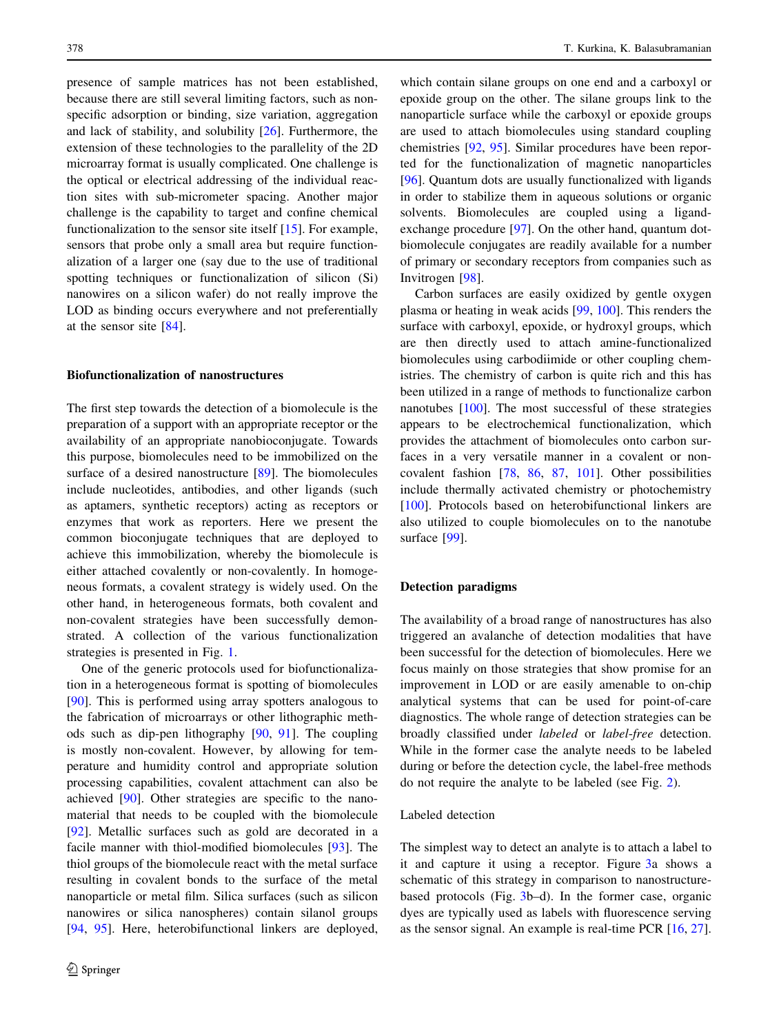presence of sample matrices has not been established, because there are still several limiting factors, such as nonspecific adsorption or binding, size variation, aggregation and lack of stability, and solubility [[26\]](#page-12-0). Furthermore, the extension of these technologies to the parallelity of the 2D microarray format is usually complicated. One challenge is the optical or electrical addressing of the individual reaction sites with sub-micrometer spacing. Another major challenge is the capability to target and confine chemical functionalization to the sensor site itself [[15\]](#page-12-0). For example, sensors that probe only a small area but require functionalization of a larger one (say due to the use of traditional spotting techniques or functionalization of silicon (Si) nanowires on a silicon wafer) do not really improve the LOD as binding occurs everywhere and not preferentially at the sensor site [[84\]](#page-13-0).

#### Biofunctionalization of nanostructures

The first step towards the detection of a biomolecule is the preparation of a support with an appropriate receptor or the availability of an appropriate nanobioconjugate. Towards this purpose, biomolecules need to be immobilized on the surface of a desired nanostructure [\[89](#page-14-0)]. The biomolecules include nucleotides, antibodies, and other ligands (such as aptamers, synthetic receptors) acting as receptors or enzymes that work as reporters. Here we present the common bioconjugate techniques that are deployed to achieve this immobilization, whereby the biomolecule is either attached covalently or non-covalently. In homogeneous formats, a covalent strategy is widely used. On the other hand, in heterogeneous formats, both covalent and non-covalent strategies have been successfully demonstrated. A collection of the various functionalization strategies is presented in Fig. [1](#page-2-0).

One of the generic protocols used for biofunctionalization in a heterogeneous format is spotting of biomolecules [\[90](#page-14-0)]. This is performed using array spotters analogous to the fabrication of microarrays or other lithographic methods such as dip-pen lithography [[90,](#page-14-0) [91](#page-14-0)]. The coupling is mostly non-covalent. However, by allowing for temperature and humidity control and appropriate solution processing capabilities, covalent attachment can also be achieved [[90\]](#page-14-0). Other strategies are specific to the nanomaterial that needs to be coupled with the biomolecule [\[92](#page-14-0)]. Metallic surfaces such as gold are decorated in a facile manner with thiol-modified biomolecules [[93\]](#page-14-0). The thiol groups of the biomolecule react with the metal surface resulting in covalent bonds to the surface of the metal nanoparticle or metal film. Silica surfaces (such as silicon nanowires or silica nanospheres) contain silanol groups [\[94](#page-14-0), [95](#page-14-0)]. Here, heterobifunctional linkers are deployed,

which contain silane groups on one end and a carboxyl or epoxide group on the other. The silane groups link to the nanoparticle surface while the carboxyl or epoxide groups are used to attach biomolecules using standard coupling chemistries [[92,](#page-14-0) [95\]](#page-14-0). Similar procedures have been reported for the functionalization of magnetic nanoparticles [\[96](#page-14-0)]. Quantum dots are usually functionalized with ligands in order to stabilize them in aqueous solutions or organic solvents. Biomolecules are coupled using a ligandexchange procedure [\[97](#page-14-0)]. On the other hand, quantum dotbiomolecule conjugates are readily available for a number of primary or secondary receptors from companies such as Invitrogen [[98](#page-14-0)].

Carbon surfaces are easily oxidized by gentle oxygen plasma or heating in weak acids [[99,](#page-14-0) [100](#page-14-0)]. This renders the surface with carboxyl, epoxide, or hydroxyl groups, which are then directly used to attach amine-functionalized biomolecules using carbodiimide or other coupling chemistries. The chemistry of carbon is quite rich and this has been utilized in a range of methods to functionalize carbon nanotubes [\[100](#page-14-0)]. The most successful of these strategies appears to be electrochemical functionalization, which provides the attachment of biomolecules onto carbon surfaces in a very versatile manner in a covalent or noncovalent fashion [\[78](#page-13-0), [86,](#page-13-0) [87](#page-14-0), [101\]](#page-14-0). Other possibilities include thermally activated chemistry or photochemistry [\[100](#page-14-0)]. Protocols based on heterobifunctional linkers are also utilized to couple biomolecules on to the nanotube surface [[99\]](#page-14-0).

## Detection paradigms

The availability of a broad range of nanostructures has also triggered an avalanche of detection modalities that have been successful for the detection of biomolecules. Here we focus mainly on those strategies that show promise for an improvement in LOD or are easily amenable to on-chip analytical systems that can be used for point-of-care diagnostics. The whole range of detection strategies can be broadly classified under labeled or label-free detection. While in the former case the analyte needs to be labeled during or before the detection cycle, the label-free methods do not require the analyte to be labeled (see Fig. [2\)](#page-6-0).

## Labeled detection

The simplest way to detect an analyte is to attach a label to it and capture it using a receptor. Figure [3a](#page-6-0) shows a schematic of this strategy in comparison to nanostructurebased protocols (Fig. [3b](#page-6-0)–d). In the former case, organic dyes are typically used as labels with fluorescence serving as the sensor signal. An example is real-time PCR [\[16](#page-12-0), [27](#page-12-0)].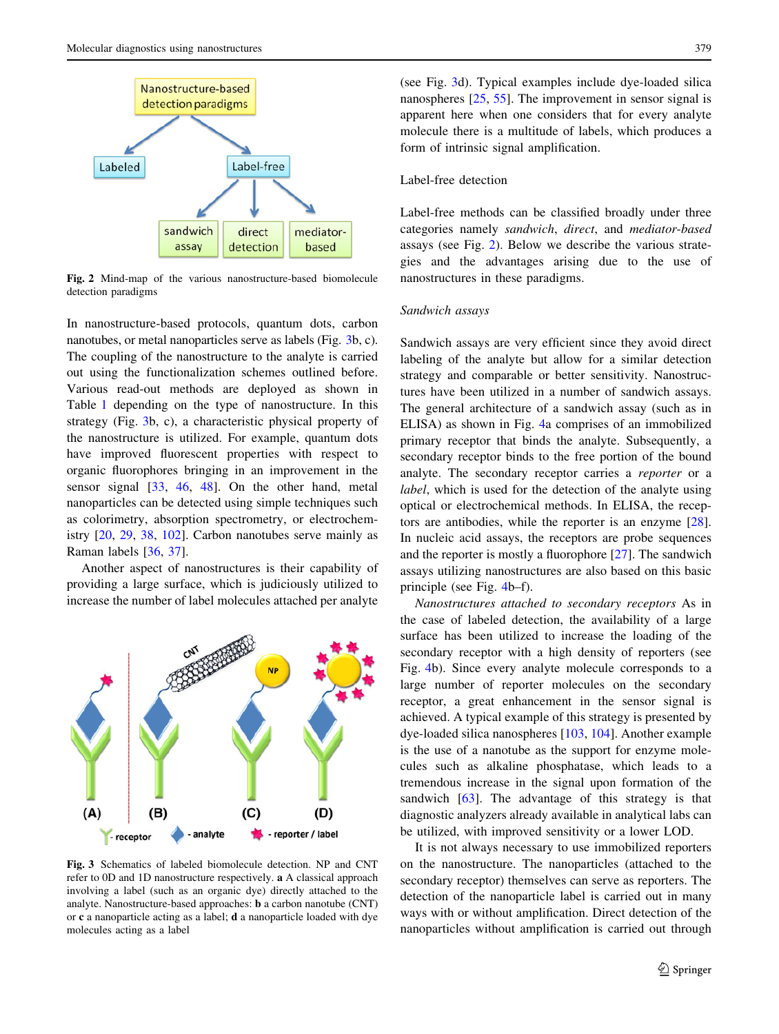<span id="page-6-0"></span>

Fig. 2 Mind-map of the various nanostructure-based biomolecule detection paradigms

In nanostructure-based protocols, quantum dots, carbon nanotubes, or metal nanoparticles serve as labels (Fig. 3b, c). The coupling of the nanostructure to the analyte is carried out using the functionalization schemes outlined before. Various read-out methods are deployed as shown in Table [1](#page-3-0) depending on the type of nanostructure. In this strategy (Fig. 3b, c), a characteristic physical property of the nanostructure is utilized. For example, quantum dots have improved fluorescent properties with respect to organic fluorophores bringing in an improvement in the sensor signal [\[33](#page-12-0), [46,](#page-13-0) [48](#page-13-0)]. On the other hand, metal nanoparticles can be detected using simple techniques such as colorimetry, absorption spectrometry, or electrochemistry [[20,](#page-12-0) [29,](#page-12-0) [38,](#page-12-0) [102\]](#page-14-0). Carbon nanotubes serve mainly as Raman labels [[36,](#page-12-0) [37\]](#page-12-0).

Another aspect of nanostructures is their capability of providing a large surface, which is judiciously utilized to increase the number of label molecules attached per analyte



Fig. 3 Schematics of labeled biomolecule detection. NP and CNT refer to 0D and 1D nanostructure respectively. a A classical approach involving a label (such as an organic dye) directly attached to the analyte. Nanostructure-based approaches: b a carbon nanotube (CNT) or c a nanoparticle acting as a label; d a nanoparticle loaded with dye molecules acting as a label

(see Fig. 3d). Typical examples include dye-loaded silica nanospheres [[25,](#page-12-0) [55](#page-13-0)]. The improvement in sensor signal is apparent here when one considers that for every analyte molecule there is a multitude of labels, which produces a form of intrinsic signal amplification.

## Label-free detection

Label-free methods can be classified broadly under three categories namely sandwich, direct, and mediator-based assays (see Fig. 2). Below we describe the various strategies and the advantages arising due to the use of nanostructures in these paradigms.

#### Sandwich assays

Sandwich assays are very efficient since they avoid direct labeling of the analyte but allow for a similar detection strategy and comparable or better sensitivity. Nanostructures have been utilized in a number of sandwich assays. The general architecture of a sandwich assay (such as in ELISA) as shown in Fig. [4](#page-7-0)a comprises of an immobilized primary receptor that binds the analyte. Subsequently, a secondary receptor binds to the free portion of the bound analyte. The secondary receptor carries a reporter or a label, which is used for the detection of the analyte using optical or electrochemical methods. In ELISA, the receptors are antibodies, while the reporter is an enzyme [\[28](#page-12-0)]. In nucleic acid assays, the receptors are probe sequences and the reporter is mostly a fluorophore [\[27](#page-12-0)]. The sandwich assays utilizing nanostructures are also based on this basic principle (see Fig. [4b](#page-7-0)–f).

Nanostructures attached to secondary receptors As in the case of labeled detection, the availability of a large surface has been utilized to increase the loading of the secondary receptor with a high density of reporters (see Fig. [4](#page-7-0)b). Since every analyte molecule corresponds to a large number of reporter molecules on the secondary receptor, a great enhancement in the sensor signal is achieved. A typical example of this strategy is presented by dye-loaded silica nanospheres [[103,](#page-14-0) [104\]](#page-14-0). Another example is the use of a nanotube as the support for enzyme molecules such as alkaline phosphatase, which leads to a tremendous increase in the signal upon formation of the sandwich [\[63](#page-13-0)]. The advantage of this strategy is that diagnostic analyzers already available in analytical labs can be utilized, with improved sensitivity or a lower LOD.

It is not always necessary to use immobilized reporters on the nanostructure. The nanoparticles (attached to the secondary receptor) themselves can serve as reporters. The detection of the nanoparticle label is carried out in many ways with or without amplification. Direct detection of the nanoparticles without amplification is carried out through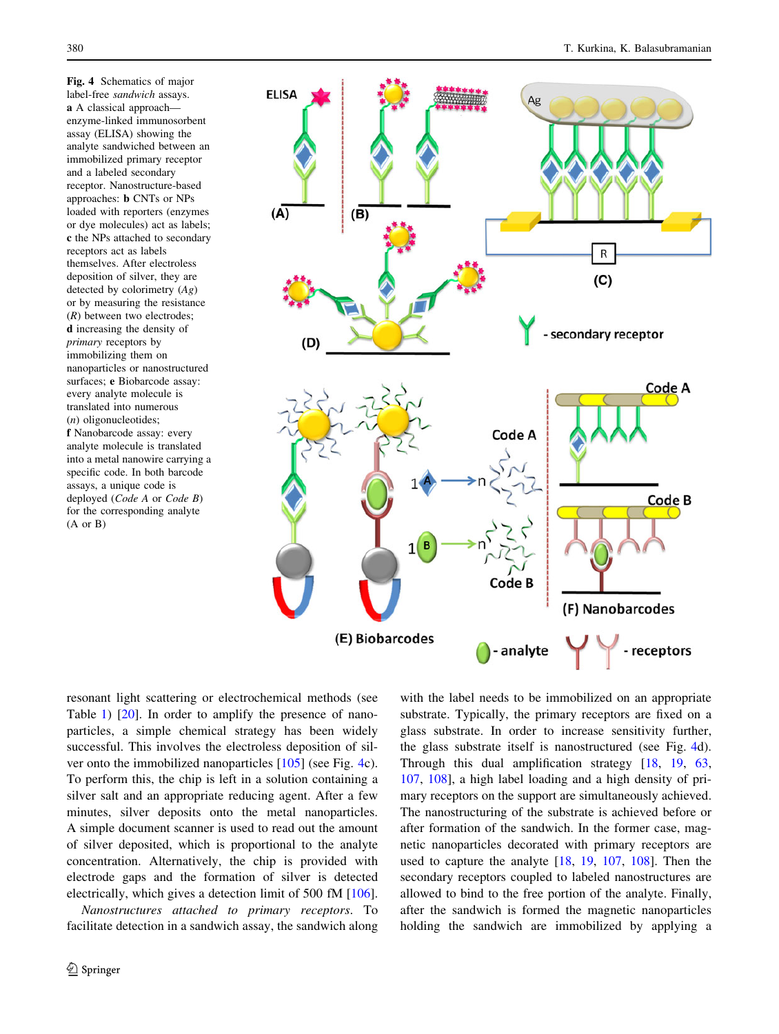<span id="page-7-0"></span>Fig. 4 Schematics of major label-free sandwich assays. a A classical approach–– enzyme-linked immunosorbent assay (ELISA) showing the analyte sandwiched between an immobilized primary receptor and a labeled secondary receptor. Nanostructure-based approaches: b CNTs or NPs loaded with reporters (enzymes or dye molecules) act as labels; c the NPs attached to secondary receptors act as labels themselves. After electroless deposition of silver, they are detected by colorimetry  $(Ag)$ or by measuring the resistance  $(R)$  between two electrodes; d increasing the density of primary receptors by immobilizing them on nanoparticles or nanostructured surfaces; e Biobarcode assay: every analyte molecule is translated into numerous (n) oligonucleotides; f Nanobarcode assay: every analyte molecule is translated into a metal nanowire carrying a specific code. In both barcode assays, a unique code is deployed (Code A or Code B) for the corresponding analyte (A or B)



resonant light scattering or electrochemical methods (see Table [1](#page-3-0)) [\[20](#page-12-0)]. In order to amplify the presence of nanoparticles, a simple chemical strategy has been widely successful. This involves the electroless deposition of silver onto the immobilized nanoparticles [[105\]](#page-14-0) (see Fig. 4c). To perform this, the chip is left in a solution containing a silver salt and an appropriate reducing agent. After a few minutes, silver deposits onto the metal nanoparticles. A simple document scanner is used to read out the amount of silver deposited, which is proportional to the analyte concentration. Alternatively, the chip is provided with electrode gaps and the formation of silver is detected electrically, which gives a detection limit of 500 fM [\[106](#page-14-0)].

Nanostructures attached to primary receptors. To facilitate detection in a sandwich assay, the sandwich along

with the label needs to be immobilized on an appropriate substrate. Typically, the primary receptors are fixed on a glass substrate. In order to increase sensitivity further, the glass substrate itself is nanostructured (see Fig. 4d). Through this dual amplification strategy [[18](#page-12-0), [19,](#page-12-0) [63,](#page-13-0) [107](#page-14-0), [108](#page-14-0)], a high label loading and a high density of primary receptors on the support are simultaneously achieved. The nanostructuring of the substrate is achieved before or after formation of the sandwich. In the former case, magnetic nanoparticles decorated with primary receptors are used to capture the analyte [\[18](#page-12-0), [19,](#page-12-0) [107,](#page-14-0) [108](#page-14-0)]. Then the secondary receptors coupled to labeled nanostructures are allowed to bind to the free portion of the analyte. Finally, after the sandwich is formed the magnetic nanoparticles holding the sandwich are immobilized by applying a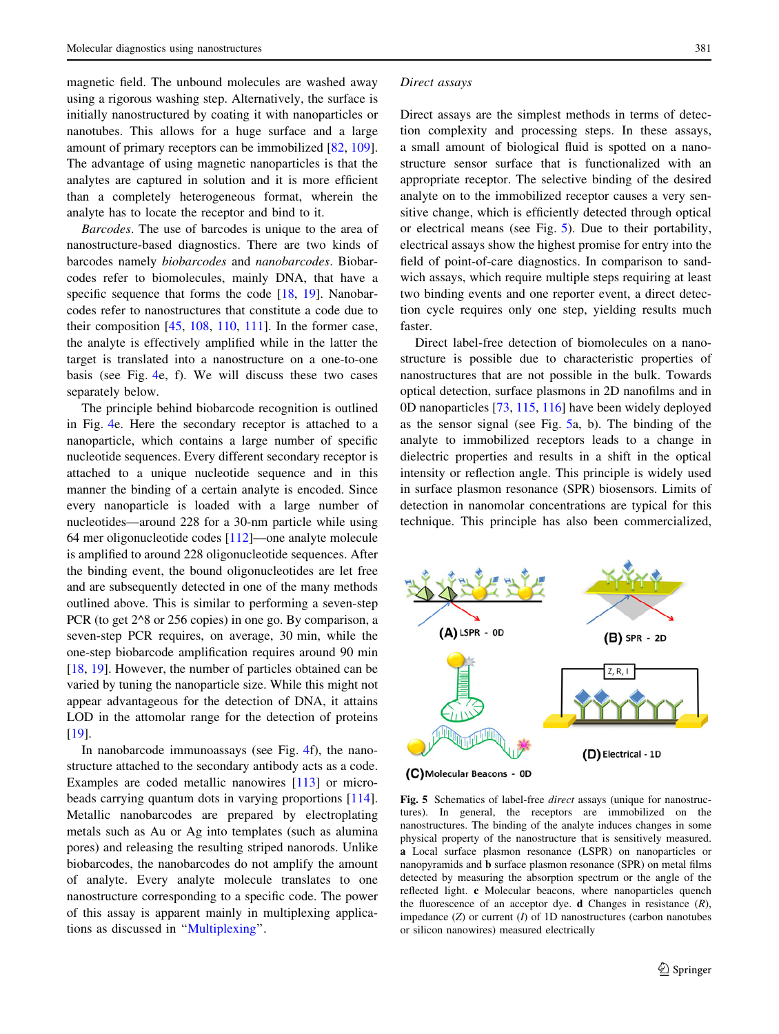<span id="page-8-0"></span>magnetic field. The unbound molecules are washed away using a rigorous washing step. Alternatively, the surface is initially nanostructured by coating it with nanoparticles or nanotubes. This allows for a huge surface and a large amount of primary receptors can be immobilized [\[82](#page-13-0), [109](#page-14-0)]. The advantage of using magnetic nanoparticles is that the analytes are captured in solution and it is more efficient than a completely heterogeneous format, wherein the analyte has to locate the receptor and bind to it.

Barcodes. The use of barcodes is unique to the area of nanostructure-based diagnostics. There are two kinds of barcodes namely biobarcodes and nanobarcodes. Biobarcodes refer to biomolecules, mainly DNA, that have a specific sequence that forms the code [\[18](#page-12-0), [19\]](#page-12-0). Nanobarcodes refer to nanostructures that constitute a code due to their composition  $[45, 108, 110, 111]$  $[45, 108, 110, 111]$  $[45, 108, 110, 111]$  $[45, 108, 110, 111]$  $[45, 108, 110, 111]$  $[45, 108, 110, 111]$  $[45, 108, 110, 111]$ . In the former case, the analyte is effectively amplified while in the latter the target is translated into a nanostructure on a one-to-one basis (see Fig. [4e](#page-7-0), f). We will discuss these two cases separately below.

The principle behind biobarcode recognition is outlined in Fig. [4e](#page-7-0). Here the secondary receptor is attached to a nanoparticle, which contains a large number of specific nucleotide sequences. Every different secondary receptor is attached to a unique nucleotide sequence and in this manner the binding of a certain analyte is encoded. Since every nanoparticle is loaded with a large number of nucleotides––around 228 for a 30-nm particle while using 64 mer oligonucleotide codes [\[112](#page-14-0)]––one analyte molecule is amplified to around 228 oligonucleotide sequences. After the binding event, the bound oligonucleotides are let free and are subsequently detected in one of the many methods outlined above. This is similar to performing a seven-step PCR (to get 2^8 or 256 copies) in one go. By comparison, a seven-step PCR requires, on average, 30 min, while the one-step biobarcode amplification requires around 90 min [\[18](#page-12-0), [19\]](#page-12-0). However, the number of particles obtained can be varied by tuning the nanoparticle size. While this might not appear advantageous for the detection of DNA, it attains LOD in the attomolar range for the detection of proteins [\[19](#page-12-0)].

In nanobarcode immunoassays (see Fig. [4f](#page-7-0)), the nanostructure attached to the secondary antibody acts as a code. Examples are coded metallic nanowires [[113\]](#page-14-0) or microbeads carrying quantum dots in varying proportions [\[114](#page-14-0)]. Metallic nanobarcodes are prepared by electroplating metals such as Au or Ag into templates (such as alumina pores) and releasing the resulting striped nanorods. Unlike biobarcodes, the nanobarcodes do not amplify the amount of analyte. Every analyte molecule translates to one nanostructure corresponding to a specific code. The power of this assay is apparent mainly in multiplexing applications as discussed in ''[Multiplexing'](#page-11-0)'.

#### Direct assays

Direct assays are the simplest methods in terms of detection complexity and processing steps. In these assays, a small amount of biological fluid is spotted on a nanostructure sensor surface that is functionalized with an appropriate receptor. The selective binding of the desired analyte on to the immobilized receptor causes a very sensitive change, which is efficiently detected through optical or electrical means (see Fig. 5). Due to their portability, electrical assays show the highest promise for entry into the field of point-of-care diagnostics. In comparison to sandwich assays, which require multiple steps requiring at least two binding events and one reporter event, a direct detection cycle requires only one step, yielding results much faster.

Direct label-free detection of biomolecules on a nanostructure is possible due to characteristic properties of nanostructures that are not possible in the bulk. Towards optical detection, surface plasmons in 2D nanofilms and in 0D nanoparticles [[73,](#page-13-0) [115,](#page-14-0) [116\]](#page-14-0) have been widely deployed as the sensor signal (see Fig. 5a, b). The binding of the analyte to immobilized receptors leads to a change in dielectric properties and results in a shift in the optical intensity or reflection angle. This principle is widely used in surface plasmon resonance (SPR) biosensors. Limits of detection in nanomolar concentrations are typical for this technique. This principle has also been commercialized,



Fig. 5 Schematics of label-free *direct* assays (unique for nanostructures). In general, the receptors are immobilized on the nanostructures. The binding of the analyte induces changes in some physical property of the nanostructure that is sensitively measured. a Local surface plasmon resonance (LSPR) on nanoparticles or nanopyramids and b surface plasmon resonance (SPR) on metal films detected by measuring the absorption spectrum or the angle of the reflected light. c Molecular beacons, where nanoparticles quench the fluorescence of an acceptor dye. **d** Changes in resistance  $(R)$ , impedance  $(Z)$  or current  $(I)$  of  $1D$  nanostructures (carbon nanotubes or silicon nanowires) measured electrically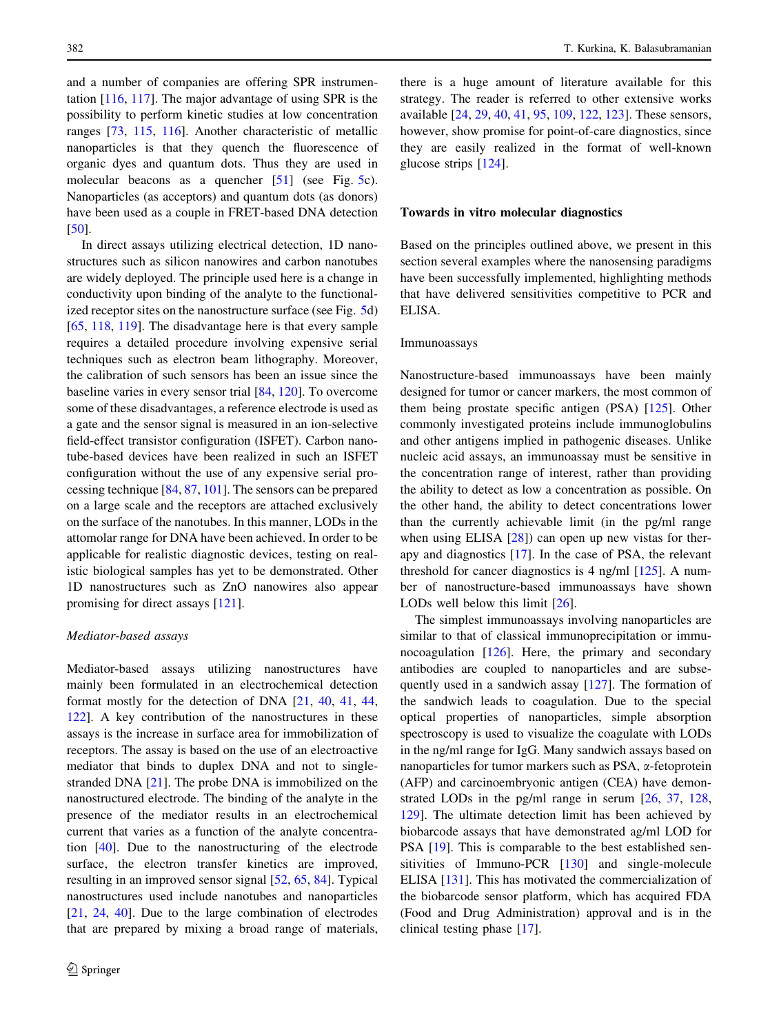and a number of companies are offering SPR instrumentation [[116,](#page-14-0) [117](#page-14-0)]. The major advantage of using SPR is the possibility to perform kinetic studies at low concentration ranges [[73,](#page-13-0) [115,](#page-14-0) [116\]](#page-14-0). Another characteristic of metallic nanoparticles is that they quench the fluorescence of organic dyes and quantum dots. Thus they are used in molecular beacons as a quencher [\[51](#page-13-0)] (see Fig. [5c](#page-8-0)). Nanoparticles (as acceptors) and quantum dots (as donors) have been used as a couple in FRET-based DNA detection [\[50](#page-13-0)].

In direct assays utilizing electrical detection, 1D nanostructures such as silicon nanowires and carbon nanotubes are widely deployed. The principle used here is a change in conductivity upon binding of the analyte to the functional-ized receptor sites on the nanostructure surface (see Fig. [5d](#page-8-0)) [\[65](#page-13-0), [118,](#page-14-0) [119](#page-14-0)]. The disadvantage here is that every sample requires a detailed procedure involving expensive serial techniques such as electron beam lithography. Moreover, the calibration of such sensors has been an issue since the baseline varies in every sensor trial [[84,](#page-13-0) [120\]](#page-14-0). To overcome some of these disadvantages, a reference electrode is used as a gate and the sensor signal is measured in an ion-selective field-effect transistor configuration (ISFET). Carbon nanotube-based devices have been realized in such an ISFET configuration without the use of any expensive serial processing technique [[84,](#page-13-0) [87,](#page-14-0) [101](#page-14-0)]. The sensors can be prepared on a large scale and the receptors are attached exclusively on the surface of the nanotubes. In this manner, LODs in the attomolar range for DNA have been achieved. In order to be applicable for realistic diagnostic devices, testing on realistic biological samples has yet to be demonstrated. Other 1D nanostructures such as ZnO nanowires also appear promising for direct assays [\[121](#page-14-0)].

#### Mediator-based assays

Mediator-based assays utilizing nanostructures have mainly been formulated in an electrochemical detection format mostly for the detection of DNA [\[21](#page-12-0), [40,](#page-12-0) [41](#page-13-0), [44,](#page-13-0) [122\]](#page-14-0). A key contribution of the nanostructures in these assays is the increase in surface area for immobilization of receptors. The assay is based on the use of an electroactive mediator that binds to duplex DNA and not to singlestranded DNA [\[21](#page-12-0)]. The probe DNA is immobilized on the nanostructured electrode. The binding of the analyte in the presence of the mediator results in an electrochemical current that varies as a function of the analyte concentration [[40\]](#page-12-0). Due to the nanostructuring of the electrode surface, the electron transfer kinetics are improved, resulting in an improved sensor signal [[52,](#page-13-0) [65,](#page-13-0) [84](#page-13-0)]. Typical nanostructures used include nanotubes and nanoparticles [\[21](#page-12-0), [24](#page-12-0), [40\]](#page-12-0). Due to the large combination of electrodes that are prepared by mixing a broad range of materials,

there is a huge amount of literature available for this strategy. The reader is referred to other extensive works available [\[24](#page-12-0), [29](#page-12-0), [40](#page-12-0), [41](#page-13-0), [95,](#page-14-0) [109,](#page-14-0) [122,](#page-14-0) [123\]](#page-14-0). These sensors, however, show promise for point-of-care diagnostics, since they are easily realized in the format of well-known glucose strips [\[124](#page-14-0)].

#### Towards in vitro molecular diagnostics

Based on the principles outlined above, we present in this section several examples where the nanosensing paradigms have been successfully implemented, highlighting methods that have delivered sensitivities competitive to PCR and ELISA.

#### Immunoassays

Nanostructure-based immunoassays have been mainly designed for tumor or cancer markers, the most common of them being prostate specific antigen (PSA) [\[125](#page-14-0)]. Other commonly investigated proteins include immunoglobulins and other antigens implied in pathogenic diseases. Unlike nucleic acid assays, an immunoassay must be sensitive in the concentration range of interest, rather than providing the ability to detect as low a concentration as possible. On the other hand, the ability to detect concentrations lower than the currently achievable limit (in the pg/ml range when using ELISA [[28\]](#page-12-0)) can open up new vistas for therapy and diagnostics [\[17](#page-12-0)]. In the case of PSA, the relevant threshold for cancer diagnostics is 4 ng/ml  $[125]$  $[125]$ . A number of nanostructure-based immunoassays have shown LODs well below this limit [[26\]](#page-12-0).

The simplest immunoassays involving nanoparticles are similar to that of classical immunoprecipitation or immunocoagulation [\[126](#page-14-0)]. Here, the primary and secondary antibodies are coupled to nanoparticles and are subsequently used in a sandwich assay [[127\]](#page-14-0). The formation of the sandwich leads to coagulation. Due to the special optical properties of nanoparticles, simple absorption spectroscopy is used to visualize the coagulate with LODs in the ng/ml range for IgG. Many sandwich assays based on nanoparticles for tumor markers such as PSA, a-fetoprotein (AFP) and carcinoembryonic antigen (CEA) have demonstrated LODs in the pg/ml range in serum [\[26](#page-12-0), [37,](#page-12-0) [128,](#page-14-0) [129](#page-15-0)]. The ultimate detection limit has been achieved by biobarcode assays that have demonstrated ag/ml LOD for PSA [\[19](#page-12-0)]. This is comparable to the best established sensitivities of Immuno-PCR [[130\]](#page-15-0) and single-molecule ELISA [\[131](#page-15-0)]. This has motivated the commercialization of the biobarcode sensor platform, which has acquired FDA (Food and Drug Administration) approval and is in the clinical testing phase [[17\]](#page-12-0).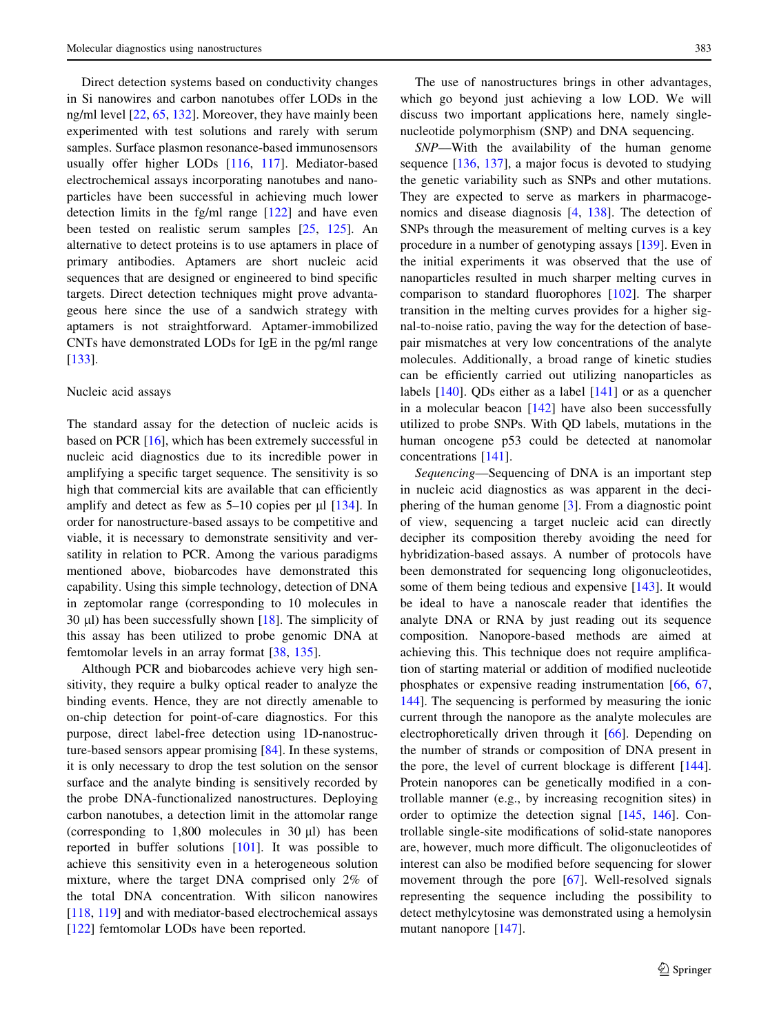Direct detection systems based on conductivity changes in Si nanowires and carbon nanotubes offer LODs in the ng/ml level [\[22,](#page-12-0) [65,](#page-13-0) [132\]](#page-15-0). Moreover, they have mainly been experimented with test solutions and rarely with serum samples. Surface plasmon resonance-based immunosensors usually offer higher LODs [\[116](#page-14-0), [117\]](#page-14-0). Mediator-based electrochemical assays incorporating nanotubes and nanoparticles have been successful in achieving much lower detection limits in the fg/ml range [\[122](#page-14-0)] and have even been tested on realistic serum samples [[25,](#page-12-0) [125](#page-14-0)]. An alternative to detect proteins is to use aptamers in place of primary antibodies. Aptamers are short nucleic acid sequences that are designed or engineered to bind specific targets. Direct detection techniques might prove advantageous here since the use of a sandwich strategy with aptamers is not straightforward. Aptamer-immobilized CNTs have demonstrated LODs for IgE in the pg/ml range [\[133](#page-15-0)].

#### Nucleic acid assays

The standard assay for the detection of nucleic acids is based on PCR [\[16](#page-12-0)], which has been extremely successful in nucleic acid diagnostics due to its incredible power in amplifying a specific target sequence. The sensitivity is so high that commercial kits are available that can efficiently amplify and detect as few as  $5-10$  copies per  $\mu$ l [[134\]](#page-15-0). In order for nanostructure-based assays to be competitive and viable, it is necessary to demonstrate sensitivity and versatility in relation to PCR. Among the various paradigms mentioned above, biobarcodes have demonstrated this capability. Using this simple technology, detection of DNA in zeptomolar range (corresponding to 10 molecules in 30  $\mu$ l) has been successfully shown [[18\]](#page-12-0). The simplicity of this assay has been utilized to probe genomic DNA at femtomolar levels in an array format [[38](#page-12-0), [135\]](#page-15-0).

Although PCR and biobarcodes achieve very high sensitivity, they require a bulky optical reader to analyze the binding events. Hence, they are not directly amenable to on-chip detection for point-of-care diagnostics. For this purpose, direct label-free detection using 1D-nanostructure-based sensors appear promising [[84\]](#page-13-0). In these systems, it is only necessary to drop the test solution on the sensor surface and the analyte binding is sensitively recorded by the probe DNA-functionalized nanostructures. Deploying carbon nanotubes, a detection limit in the attomolar range (corresponding to  $1,800$  molecules in  $30 \mu l$ ) has been reported in buffer solutions [\[101](#page-14-0)]. It was possible to achieve this sensitivity even in a heterogeneous solution mixture, where the target DNA comprised only 2% of the total DNA concentration. With silicon nanowires [\[118](#page-14-0), [119](#page-14-0)] and with mediator-based electrochemical assays [\[122](#page-14-0)] femtomolar LODs have been reported.

The use of nanostructures brings in other advantages, which go beyond just achieving a low LOD. We will discuss two important applications here, namely singlenucleotide polymorphism (SNP) and DNA sequencing.

SNP––With the availability of the human genome sequence [\[136](#page-15-0), [137](#page-15-0)], a major focus is devoted to studying the genetic variability such as SNPs and other mutations. They are expected to serve as markers in pharmacogenomics and disease diagnosis [\[4](#page-12-0), [138](#page-15-0)]. The detection of SNPs through the measurement of melting curves is a key procedure in a number of genotyping assays [[139\]](#page-15-0). Even in the initial experiments it was observed that the use of nanoparticles resulted in much sharper melting curves in comparison to standard fluorophores [\[102](#page-14-0)]. The sharper transition in the melting curves provides for a higher signal-to-noise ratio, paving the way for the detection of basepair mismatches at very low concentrations of the analyte molecules. Additionally, a broad range of kinetic studies can be efficiently carried out utilizing nanoparticles as labels [\[140](#page-15-0)]. QDs either as a label [\[141](#page-15-0)] or as a quencher in a molecular beacon  $[142]$  $[142]$  have also been successfully utilized to probe SNPs. With QD labels, mutations in the human oncogene p53 could be detected at nanomolar concentrations [\[141](#page-15-0)].

Sequencing––Sequencing of DNA is an important step in nucleic acid diagnostics as was apparent in the deciphering of the human genome [\[3](#page-12-0)]. From a diagnostic point of view, sequencing a target nucleic acid can directly decipher its composition thereby avoiding the need for hybridization-based assays. A number of protocols have been demonstrated for sequencing long oligonucleotides, some of them being tedious and expensive [\[143](#page-15-0)]. It would be ideal to have a nanoscale reader that identifies the analyte DNA or RNA by just reading out its sequence composition. Nanopore-based methods are aimed at achieving this. This technique does not require amplification of starting material or addition of modified nucleotide phosphates or expensive reading instrumentation [\[66](#page-13-0), [67,](#page-13-0) [144](#page-15-0)]. The sequencing is performed by measuring the ionic current through the nanopore as the analyte molecules are electrophoretically driven through it [\[66](#page-13-0)]. Depending on the number of strands or composition of DNA present in the pore, the level of current blockage is different [\[144](#page-15-0)]. Protein nanopores can be genetically modified in a controllable manner (e.g., by increasing recognition sites) in order to optimize the detection signal [\[145](#page-15-0), [146\]](#page-15-0). Controllable single-site modifications of solid-state nanopores are, however, much more difficult. The oligonucleotides of interest can also be modified before sequencing for slower movement through the pore [[67\]](#page-13-0). Well-resolved signals representing the sequence including the possibility to detect methylcytosine was demonstrated using a hemolysin mutant nanopore [\[147](#page-15-0)].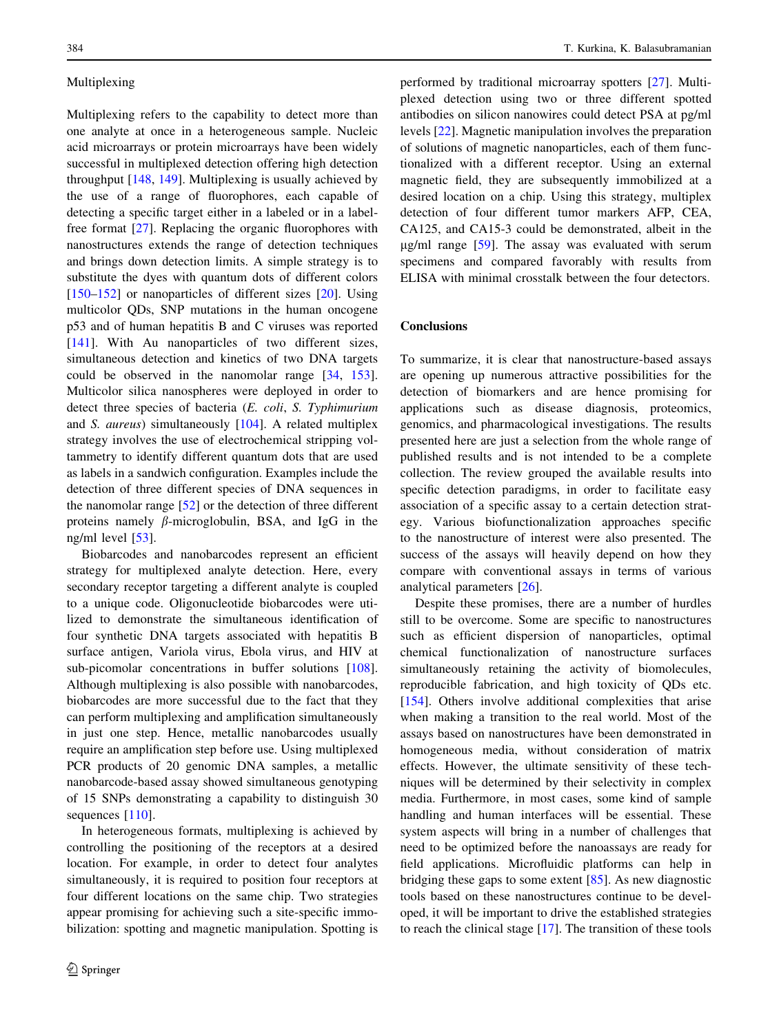## <span id="page-11-0"></span>Multiplexing

Multiplexing refers to the capability to detect more than one analyte at once in a heterogeneous sample. Nucleic acid microarrays or protein microarrays have been widely successful in multiplexed detection offering high detection throughput [[148,](#page-15-0) [149](#page-15-0)]. Multiplexing is usually achieved by the use of a range of fluorophores, each capable of detecting a specific target either in a labeled or in a labelfree format [[27\]](#page-12-0). Replacing the organic fluorophores with nanostructures extends the range of detection techniques and brings down detection limits. A simple strategy is to substitute the dyes with quantum dots of different colors [\[150–152](#page-15-0)] or nanoparticles of different sizes [\[20](#page-12-0)]. Using multicolor QDs, SNP mutations in the human oncogene p53 and of human hepatitis B and C viruses was reported [\[141](#page-15-0)]. With Au nanoparticles of two different sizes, simultaneous detection and kinetics of two DNA targets could be observed in the nanomolar range [[34,](#page-12-0) [153](#page-15-0)]. Multicolor silica nanospheres were deployed in order to detect three species of bacteria (E. coli, S. Typhimurium and S. aureus) simultaneously [\[104](#page-14-0)]. A related multiplex strategy involves the use of electrochemical stripping voltammetry to identify different quantum dots that are used as labels in a sandwich configuration. Examples include the detection of three different species of DNA sequences in the nanomolar range  $[52]$  $[52]$  or the detection of three different proteins namely  $\beta$ -microglobulin, BSA, and IgG in the ng/ml level [[53\]](#page-13-0).

Biobarcodes and nanobarcodes represent an efficient strategy for multiplexed analyte detection. Here, every secondary receptor targeting a different analyte is coupled to a unique code. Oligonucleotide biobarcodes were utilized to demonstrate the simultaneous identification of four synthetic DNA targets associated with hepatitis B surface antigen, Variola virus, Ebola virus, and HIV at sub-picomolar concentrations in buffer solutions [\[108](#page-14-0)]. Although multiplexing is also possible with nanobarcodes, biobarcodes are more successful due to the fact that they can perform multiplexing and amplification simultaneously in just one step. Hence, metallic nanobarcodes usually require an amplification step before use. Using multiplexed PCR products of 20 genomic DNA samples, a metallic nanobarcode-based assay showed simultaneous genotyping of 15 SNPs demonstrating a capability to distinguish 30 sequences [\[110](#page-14-0)].

In heterogeneous formats, multiplexing is achieved by controlling the positioning of the receptors at a desired location. For example, in order to detect four analytes simultaneously, it is required to position four receptors at four different locations on the same chip. Two strategies appear promising for achieving such a site-specific immobilization: spotting and magnetic manipulation. Spotting is performed by traditional microarray spotters [[27\]](#page-12-0). Multiplexed detection using two or three different spotted antibodies on silicon nanowires could detect PSA at pg/ml levels [\[22](#page-12-0)]. Magnetic manipulation involves the preparation of solutions of magnetic nanoparticles, each of them functionalized with a different receptor. Using an external magnetic field, they are subsequently immobilized at a desired location on a chip. Using this strategy, multiplex detection of four different tumor markers AFP, CEA, CA125, and CA15-3 could be demonstrated, albeit in the  $\mu$ g/ml range [\[59](#page-13-0)]. The assay was evaluated with serum specimens and compared favorably with results from ELISA with minimal crosstalk between the four detectors.

## **Conclusions**

To summarize, it is clear that nanostructure-based assays are opening up numerous attractive possibilities for the detection of biomarkers and are hence promising for applications such as disease diagnosis, proteomics, genomics, and pharmacological investigations. The results presented here are just a selection from the whole range of published results and is not intended to be a complete collection. The review grouped the available results into specific detection paradigms, in order to facilitate easy association of a specific assay to a certain detection strategy. Various biofunctionalization approaches specific to the nanostructure of interest were also presented. The success of the assays will heavily depend on how they compare with conventional assays in terms of various analytical parameters [\[26](#page-12-0)].

Despite these promises, there are a number of hurdles still to be overcome. Some are specific to nanostructures such as efficient dispersion of nanoparticles, optimal chemical functionalization of nanostructure surfaces simultaneously retaining the activity of biomolecules, reproducible fabrication, and high toxicity of QDs etc. [\[154](#page-15-0)]. Others involve additional complexities that arise when making a transition to the real world. Most of the assays based on nanostructures have been demonstrated in homogeneous media, without consideration of matrix effects. However, the ultimate sensitivity of these techniques will be determined by their selectivity in complex media. Furthermore, in most cases, some kind of sample handling and human interfaces will be essential. These system aspects will bring in a number of challenges that need to be optimized before the nanoassays are ready for field applications. Microfluidic platforms can help in bridging these gaps to some extent [[85\]](#page-13-0). As new diagnostic tools based on these nanostructures continue to be developed, it will be important to drive the established strategies to reach the clinical stage [\[17](#page-12-0)]. The transition of these tools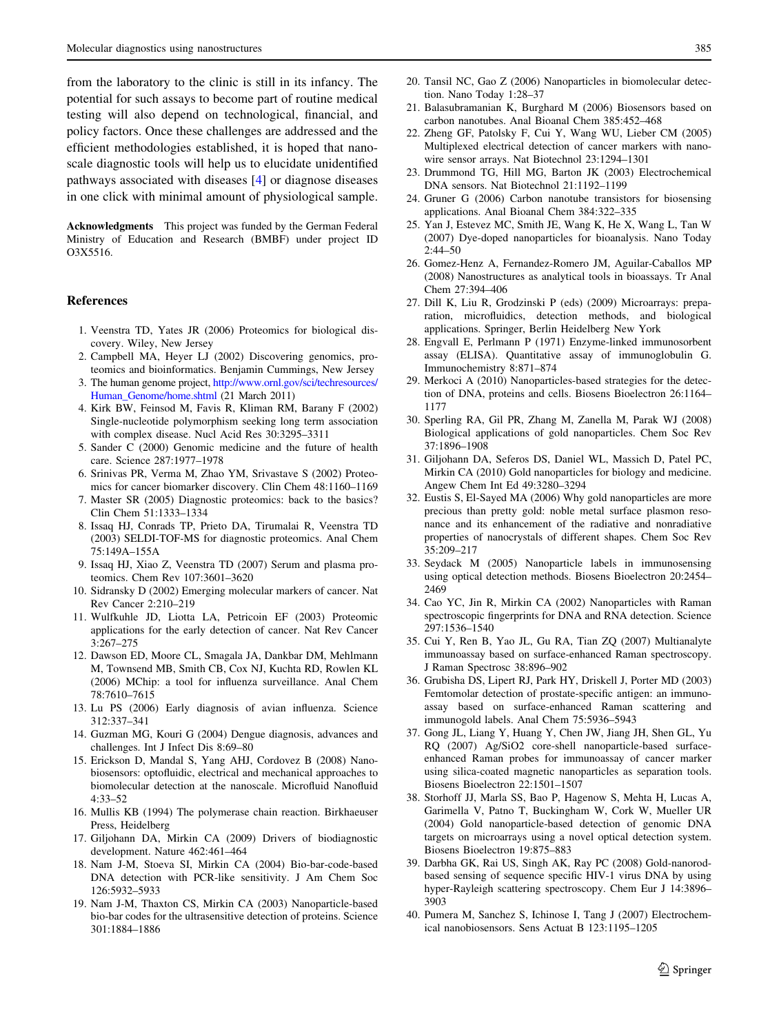<span id="page-12-0"></span>from the laboratory to the clinic is still in its infancy. The potential for such assays to become part of routine medical testing will also depend on technological, financial, and policy factors. Once these challenges are addressed and the efficient methodologies established, it is hoped that nanoscale diagnostic tools will help us to elucidate unidentified pathways associated with diseases [4] or diagnose diseases in one click with minimal amount of physiological sample.

Acknowledgments This project was funded by the German Federal Ministry of Education and Research (BMBF) under project ID O3X5516.

### References

- 1. Veenstra TD, Yates JR (2006) Proteomics for biological discovery. Wiley, New Jersey
- 2. Campbell MA, Heyer LJ (2002) Discovering genomics, proteomics and bioinformatics. Benjamin Cummings, New Jersey
- 3. The human genome project, [http://www.ornl.gov/sci/techresources/](http://www.ornl.gov/sci/techresources/Human_Genome/home.shtml) [Human\\_Genome/home.shtml](http://www.ornl.gov/sci/techresources/Human_Genome/home.shtml) (21 March 2011)
- 4. Kirk BW, Feinsod M, Favis R, Kliman RM, Barany F (2002) Single-nucleotide polymorphism seeking long term association with complex disease. Nucl Acid Res 30:3295–3311
- 5. Sander C (2000) Genomic medicine and the future of health care. Science 287:1977–1978
- 6. Srinivas PR, Verma M, Zhao YM, Srivastave S (2002) Proteomics for cancer biomarker discovery. Clin Chem 48:1160–1169
- 7. Master SR (2005) Diagnostic proteomics: back to the basics? Clin Chem 51:1333–1334
- 8. Issaq HJ, Conrads TP, Prieto DA, Tirumalai R, Veenstra TD (2003) SELDI-TOF-MS for diagnostic proteomics. Anal Chem 75:149A–155A
- 9. Issaq HJ, Xiao Z, Veenstra TD (2007) Serum and plasma proteomics. Chem Rev 107:3601–3620
- 10. Sidransky D (2002) Emerging molecular markers of cancer. Nat Rev Cancer 2:210–219
- 11. Wulfkuhle JD, Liotta LA, Petricoin EF (2003) Proteomic applications for the early detection of cancer. Nat Rev Cancer 3:267–275
- 12. Dawson ED, Moore CL, Smagala JA, Dankbar DM, Mehlmann M, Townsend MB, Smith CB, Cox NJ, Kuchta RD, Rowlen KL (2006) MChip: a tool for influenza surveillance. Anal Chem 78:7610–7615
- 13. Lu PS (2006) Early diagnosis of avian influenza. Science 312:337–341
- 14. Guzman MG, Kouri G (2004) Dengue diagnosis, advances and challenges. Int J Infect Dis 8:69–80
- 15. Erickson D, Mandal S, Yang AHJ, Cordovez B (2008) Nanobiosensors: optofluidic, electrical and mechanical approaches to biomolecular detection at the nanoscale. Microfluid Nanofluid 4:33–52
- 16. Mullis KB (1994) The polymerase chain reaction. Birkhaeuser Press, Heidelberg
- 17. Giljohann DA, Mirkin CA (2009) Drivers of biodiagnostic development. Nature 462:461–464
- 18. Nam J-M, Stoeva SI, Mirkin CA (2004) Bio-bar-code-based DNA detection with PCR-like sensitivity. J Am Chem Soc 126:5932–5933
- 19. Nam J-M, Thaxton CS, Mirkin CA (2003) Nanoparticle-based bio-bar codes for the ultrasensitive detection of proteins. Science 301:1884–1886
- 20. Tansil NC, Gao Z (2006) Nanoparticles in biomolecular detection. Nano Today 1:28–37
- 21. Balasubramanian K, Burghard M (2006) Biosensors based on carbon nanotubes. Anal Bioanal Chem 385:452–468
- 22. Zheng GF, Patolsky F, Cui Y, Wang WU, Lieber CM (2005) Multiplexed electrical detection of cancer markers with nanowire sensor arrays. Nat Biotechnol 23:1294–1301
- 23. Drummond TG, Hill MG, Barton JK (2003) Electrochemical DNA sensors. Nat Biotechnol 21:1192–1199
- 24. Gruner G (2006) Carbon nanotube transistors for biosensing applications. Anal Bioanal Chem 384:322–335
- 25. Yan J, Estevez MC, Smith JE, Wang K, He X, Wang L, Tan W (2007) Dye-doped nanoparticles for bioanalysis. Nano Today  $2:44-50$
- 26. Gomez-Henz A, Fernandez-Romero JM, Aguilar-Caballos MP (2008) Nanostructures as analytical tools in bioassays. Tr Anal Chem 27:394–406
- 27. Dill K, Liu R, Grodzinski P (eds) (2009) Microarrays: preparation, microfluidics, detection methods, and biological applications. Springer, Berlin Heidelberg New York
- 28. Engvall E, Perlmann P (1971) Enzyme-linked immunosorbent assay (ELISA). Quantitative assay of immunoglobulin G. Immunochemistry 8:871–874
- 29. Merkoci A (2010) Nanoparticles-based strategies for the detection of DNA, proteins and cells. Biosens Bioelectron 26:1164– 1177
- 30. Sperling RA, Gil PR, Zhang M, Zanella M, Parak WJ (2008) Biological applications of gold nanoparticles. Chem Soc Rev 37:1896–1908
- 31. Giljohann DA, Seferos DS, Daniel WL, Massich D, Patel PC, Mirkin CA (2010) Gold nanoparticles for biology and medicine. Angew Chem Int Ed 49:3280–3294
- 32. Eustis S, El-Sayed MA (2006) Why gold nanoparticles are more precious than pretty gold: noble metal surface plasmon resonance and its enhancement of the radiative and nonradiative properties of nanocrystals of different shapes. Chem Soc Rev 35:209–217
- 33. Seydack M (2005) Nanoparticle labels in immunosensing using optical detection methods. Biosens Bioelectron 20:2454– 2469
- 34. Cao YC, Jin R, Mirkin CA (2002) Nanoparticles with Raman spectroscopic fingerprints for DNA and RNA detection. Science 297:1536–1540
- 35. Cui Y, Ren B, Yao JL, Gu RA, Tian ZQ (2007) Multianalyte immunoassay based on surface-enhanced Raman spectroscopy. J Raman Spectrosc 38:896–902
- 36. Grubisha DS, Lipert RJ, Park HY, Driskell J, Porter MD (2003) Femtomolar detection of prostate-specific antigen: an immunoassay based on surface-enhanced Raman scattering and immunogold labels. Anal Chem 75:5936–5943
- 37. Gong JL, Liang Y, Huang Y, Chen JW, Jiang JH, Shen GL, Yu RQ (2007) Ag/SiO2 core-shell nanoparticle-based surfaceenhanced Raman probes for immunoassay of cancer marker using silica-coated magnetic nanoparticles as separation tools. Biosens Bioelectron 22:1501–1507
- 38. Storhoff JJ, Marla SS, Bao P, Hagenow S, Mehta H, Lucas A, Garimella V, Patno T, Buckingham W, Cork W, Mueller UR (2004) Gold nanoparticle-based detection of genomic DNA targets on microarrays using a novel optical detection system. Biosens Bioelectron 19:875–883
- 39. Darbha GK, Rai US, Singh AK, Ray PC (2008) Gold-nanorodbased sensing of sequence specific HIV-1 virus DNA by using hyper-Rayleigh scattering spectroscopy. Chem Eur J 14:3896– 3903
- 40. Pumera M, Sanchez S, Ichinose I, Tang J (2007) Electrochemical nanobiosensors. Sens Actuat B 123:1195–1205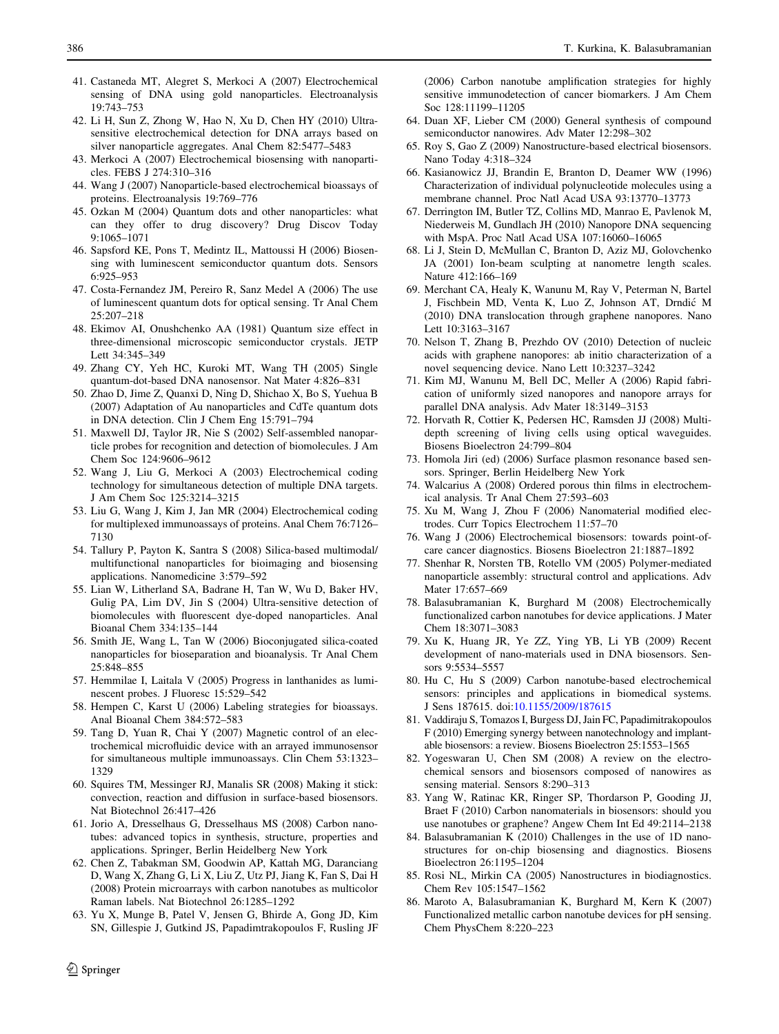- <span id="page-13-0"></span>41. Castaneda MT, Alegret S, Merkoci A (2007) Electrochemical sensing of DNA using gold nanoparticles. Electroanalysis 19:743–753
- 42. Li H, Sun Z, Zhong W, Hao N, Xu D, Chen HY (2010) Ultrasensitive electrochemical detection for DNA arrays based on silver nanoparticle aggregates. Anal Chem 82:5477–5483
- 43. Merkoci A (2007) Electrochemical biosensing with nanoparticles. FEBS J 274:310–316
- 44. Wang J (2007) Nanoparticle-based electrochemical bioassays of proteins. Electroanalysis 19:769–776
- 45. Ozkan M (2004) Quantum dots and other nanoparticles: what can they offer to drug discovery? Drug Discov Today 9:1065–1071
- 46. Sapsford KE, Pons T, Medintz IL, Mattoussi H (2006) Biosensing with luminescent semiconductor quantum dots. Sensors 6:925–953
- 47. Costa-Fernandez JM, Pereiro R, Sanz Medel A (2006) The use of luminescent quantum dots for optical sensing. Tr Anal Chem 25:207–218
- 48. Ekimov AI, Onushchenko AA (1981) Quantum size effect in three-dimensional microscopic semiconductor crystals. JETP Lett 34:345–349
- 49. Zhang CY, Yeh HC, Kuroki MT, Wang TH (2005) Single quantum-dot-based DNA nanosensor. Nat Mater 4:826–831
- 50. Zhao D, Jime Z, Quanxi D, Ning D, Shichao X, Bo S, Yuehua B (2007) Adaptation of Au nanoparticles and CdTe quantum dots in DNA detection. Clin J Chem Eng 15:791–794
- 51. Maxwell DJ, Taylor JR, Nie S (2002) Self-assembled nanoparticle probes for recognition and detection of biomolecules. J Am Chem Soc 124:9606–9612
- 52. Wang J, Liu G, Merkoci A (2003) Electrochemical coding technology for simultaneous detection of multiple DNA targets. J Am Chem Soc 125:3214–3215
- 53. Liu G, Wang J, Kim J, Jan MR (2004) Electrochemical coding for multiplexed immunoassays of proteins. Anal Chem 76:7126– 7130
- 54. Tallury P, Payton K, Santra S (2008) Silica-based multimodal/ multifunctional nanoparticles for bioimaging and biosensing applications. Nanomedicine 3:579–592
- 55. Lian W, Litherland SA, Badrane H, Tan W, Wu D, Baker HV, Gulig PA, Lim DV, Jin S (2004) Ultra-sensitive detection of biomolecules with fluorescent dye-doped nanoparticles. Anal Bioanal Chem 334:135–144
- 56. Smith JE, Wang L, Tan W (2006) Bioconjugated silica-coated nanoparticles for bioseparation and bioanalysis. Tr Anal Chem 25:848–855
- 57. Hemmilae I, Laitala V (2005) Progress in lanthanides as luminescent probes. J Fluoresc 15:529–542
- 58. Hempen C, Karst U (2006) Labeling strategies for bioassays. Anal Bioanal Chem 384:572–583
- 59. Tang D, Yuan R, Chai Y (2007) Magnetic control of an electrochemical microfluidic device with an arrayed immunosensor for simultaneous multiple immunoassays. Clin Chem 53:1323– 1329
- 60. Squires TM, Messinger RJ, Manalis SR (2008) Making it stick: convection, reaction and diffusion in surface-based biosensors. Nat Biotechnol 26:417–426
- 61. Jorio A, Dresselhaus G, Dresselhaus MS (2008) Carbon nanotubes: advanced topics in synthesis, structure, properties and applications. Springer, Berlin Heidelberg New York
- 62. Chen Z, Tabakman SM, Goodwin AP, Kattah MG, Daranciang D, Wang X, Zhang G, Li X, Liu Z, Utz PJ, Jiang K, Fan S, Dai H (2008) Protein microarrays with carbon nanotubes as multicolor Raman labels. Nat Biotechnol 26:1285–1292
- 63. Yu X, Munge B, Patel V, Jensen G, Bhirde A, Gong JD, Kim SN, Gillespie J, Gutkind JS, Papadimtrakopoulos F, Rusling JF

 $\textcircled{2}$  Springer

(2006) Carbon nanotube amplification strategies for highly sensitive immunodetection of cancer biomarkers. J Am Chem Soc 128:11199–11205

- 64. Duan XF, Lieber CM (2000) General synthesis of compound semiconductor nanowires. Adv Mater 12:298–302
- 65. Roy S, Gao Z (2009) Nanostructure-based electrical biosensors. Nano Today 4:318–324
- 66. Kasianowicz JJ, Brandin E, Branton D, Deamer WW (1996) Characterization of individual polynucleotide molecules using a membrane channel. Proc Natl Acad USA 93:13770–13773
- 67. Derrington IM, Butler TZ, Collins MD, Manrao E, Pavlenok M, Niederweis M, Gundlach JH (2010) Nanopore DNA sequencing with MspA. Proc Natl Acad USA 107:16060–16065
- 68. Li J, Stein D, McMullan C, Branton D, Aziz MJ, Golovchenko JA (2001) Ion-beam sculpting at nanometre length scales. Nature 412:166–169
- 69. Merchant CA, Healy K, Wanunu M, Ray V, Peterman N, Bartel J, Fischbein MD, Venta K, Luo Z, Johnson AT, Drndic´ M (2010) DNA translocation through graphene nanopores. Nano Lett 10:3163–3167
- 70. Nelson T, Zhang B, Prezhdo OV (2010) Detection of nucleic acids with graphene nanopores: ab initio characterization of a novel sequencing device. Nano Lett 10:3237–3242
- 71. Kim MJ, Wanunu M, Bell DC, Meller A (2006) Rapid fabrication of uniformly sized nanopores and nanopore arrays for parallel DNA analysis. Adv Mater 18:3149–3153
- 72. Horvath R, Cottier K, Pedersen HC, Ramsden JJ (2008) Multidepth screening of living cells using optical waveguides. Biosens Bioelectron 24:799–804
- 73. Homola Jiri (ed) (2006) Surface plasmon resonance based sensors. Springer, Berlin Heidelberg New York
- 74. Walcarius A (2008) Ordered porous thin films in electrochemical analysis. Tr Anal Chem 27:593–603
- 75. Xu M, Wang J, Zhou F (2006) Nanomaterial modified electrodes. Curr Topics Electrochem 11:57–70
- 76. Wang J (2006) Electrochemical biosensors: towards point-ofcare cancer diagnostics. Biosens Bioelectron 21:1887–1892
- 77. Shenhar R, Norsten TB, Rotello VM (2005) Polymer-mediated nanoparticle assembly: structural control and applications. Adv Mater 17:657–669
- 78. Balasubramanian K, Burghard M (2008) Electrochemically functionalized carbon nanotubes for device applications. J Mater Chem 18:3071–3083
- 79. Xu K, Huang JR, Ye ZZ, Ying YB, Li YB (2009) Recent development of nano-materials used in DNA biosensors. Sensors 9:5534–5557
- 80. Hu C, Hu S (2009) Carbon nanotube-based electrochemical sensors: principles and applications in biomedical systems. J Sens 187615. doi[:10.1155/2009/187615](http://dx.doi.org/10.1155/2009/187615)
- 81. Vaddiraju S, Tomazos I, Burgess DJ, Jain FC, Papadimitrakopoulos F (2010) Emerging synergy between nanotechnology and implantable biosensors: a review. Biosens Bioelectron 25:1553–1565
- 82. Yogeswaran U, Chen SM (2008) A review on the electrochemical sensors and biosensors composed of nanowires as sensing material. Sensors 8:290–313
- 83. Yang W, Ratinac KR, Ringer SP, Thordarson P, Gooding JJ, Braet F (2010) Carbon nanomaterials in biosensors: should you use nanotubes or graphene? Angew Chem Int Ed 49:2114–2138
- 84. Balasubramanian K (2010) Challenges in the use of 1D nanostructures for on-chip biosensing and diagnostics. Biosens Bioelectron 26:1195–1204
- 85. Rosi NL, Mirkin CA (2005) Nanostructures in biodiagnostics. Chem Rev 105:1547–1562
- 86. Maroto A, Balasubramanian K, Burghard M, Kern K (2007) Functionalized metallic carbon nanotube devices for pH sensing. Chem PhysChem 8:220–223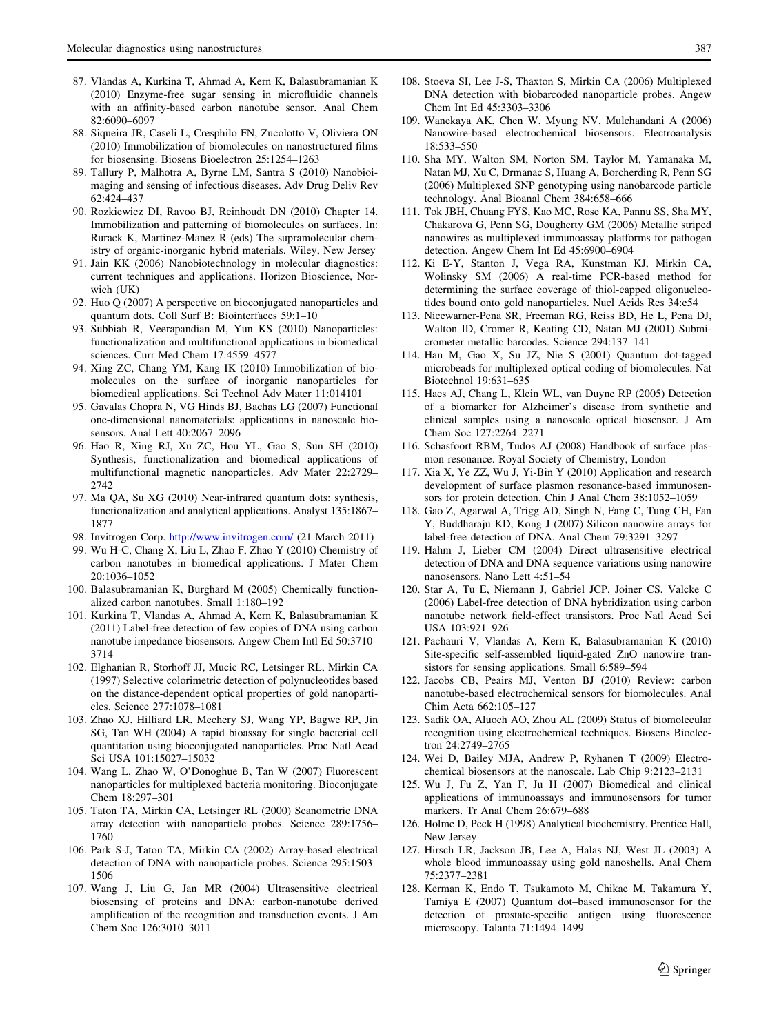- <span id="page-14-0"></span>87. Vlandas A, Kurkina T, Ahmad A, Kern K, Balasubramanian K (2010) Enzyme-free sugar sensing in microfluidic channels with an affinity-based carbon nanotube sensor. Anal Chem 82:6090–6097
- 88. Siqueira JR, Caseli L, Cresphilo FN, Zucolotto V, Oliviera ON (2010) Immobilization of biomolecules on nanostructured films for biosensing. Biosens Bioelectron 25:1254–1263
- 89. Tallury P, Malhotra A, Byrne LM, Santra S (2010) Nanobioimaging and sensing of infectious diseases. Adv Drug Deliv Rev 62:424–437
- 90. Rozkiewicz DI, Ravoo BJ, Reinhoudt DN (2010) Chapter 14. Immobilization and patterning of biomolecules on surfaces. In: Rurack K, Martinez-Manez R (eds) The supramolecular chemistry of organic-inorganic hybrid materials. Wiley, New Jersey
- 91. Jain KK (2006) Nanobiotechnology in molecular diagnostics: current techniques and applications. Horizon Bioscience, Norwich (UK)
- 92. Huo Q (2007) A perspective on bioconjugated nanoparticles and quantum dots. Coll Surf B: Biointerfaces 59:1–10
- 93. Subbiah R, Veerapandian M, Yun KS (2010) Nanoparticles: functionalization and multifunctional applications in biomedical sciences. Curr Med Chem 17:4559–4577
- 94. Xing ZC, Chang YM, Kang IK (2010) Immobilization of biomolecules on the surface of inorganic nanoparticles for biomedical applications. Sci Technol Adv Mater 11:014101
- 95. Gavalas Chopra N, VG Hinds BJ, Bachas LG (2007) Functional one-dimensional nanomaterials: applications in nanoscale biosensors. Anal Lett 40:2067–2096
- 96. Hao R, Xing RJ, Xu ZC, Hou YL, Gao S, Sun SH (2010) Synthesis, functionalization and biomedical applications of multifunctional magnetic nanoparticles. Adv Mater 22:2729– 2742
- 97. Ma QA, Su XG (2010) Near-infrared quantum dots: synthesis, functionalization and analytical applications. Analyst 135:1867– 1877
- 98. Invitrogen Corp. <http://www.invitrogen.com/> (21 March 2011)
- 99. Wu H-C, Chang X, Liu L, Zhao F, Zhao Y (2010) Chemistry of carbon nanotubes in biomedical applications. J Mater Chem 20:1036–1052
- 100. Balasubramanian K, Burghard M (2005) Chemically functionalized carbon nanotubes. Small 1:180–192
- 101. Kurkina T, Vlandas A, Ahmad A, Kern K, Balasubramanian K (2011) Label-free detection of few copies of DNA using carbon nanotube impedance biosensors. Angew Chem Intl Ed 50:3710– 3714
- 102. Elghanian R, Storhoff JJ, Mucic RC, Letsinger RL, Mirkin CA (1997) Selective colorimetric detection of polynucleotides based on the distance-dependent optical properties of gold nanoparticles. Science 277:1078–1081
- 103. Zhao XJ, Hilliard LR, Mechery SJ, Wang YP, Bagwe RP, Jin SG, Tan WH (2004) A rapid bioassay for single bacterial cell quantitation using bioconjugated nanoparticles. Proc Natl Acad Sci USA 101:15027–15032
- 104. Wang L, Zhao W, O'Donoghue B, Tan W (2007) Fluorescent nanoparticles for multiplexed bacteria monitoring. Bioconjugate Chem 18:297–301
- 105. Taton TA, Mirkin CA, Letsinger RL (2000) Scanometric DNA array detection with nanoparticle probes. Science 289:1756– 1760
- 106. Park S-J, Taton TA, Mirkin CA (2002) Array-based electrical detection of DNA with nanoparticle probes. Science 295:1503– 1506
- 107. Wang J, Liu G, Jan MR (2004) Ultrasensitive electrical biosensing of proteins and DNA: carbon-nanotube derived amplification of the recognition and transduction events. J Am Chem Soc 126:3010–3011
- 108. Stoeva SI, Lee J-S, Thaxton S, Mirkin CA (2006) Multiplexed DNA detection with biobarcoded nanoparticle probes. Angew Chem Int Ed 45:3303–3306
- 109. Wanekaya AK, Chen W, Myung NV, Mulchandani A (2006) Nanowire-based electrochemical biosensors. Electroanalysis 18:533–550
- 110. Sha MY, Walton SM, Norton SM, Taylor M, Yamanaka M, Natan MJ, Xu C, Drmanac S, Huang A, Borcherding R, Penn SG (2006) Multiplexed SNP genotyping using nanobarcode particle technology. Anal Bioanal Chem 384:658–666
- 111. Tok JBH, Chuang FYS, Kao MC, Rose KA, Pannu SS, Sha MY, Chakarova G, Penn SG, Dougherty GM (2006) Metallic striped nanowires as multiplexed immunoassay platforms for pathogen detection. Angew Chem Int Ed 45:6900–6904
- 112. Ki E-Y, Stanton J, Vega RA, Kunstman KJ, Mirkin CA, Wolinsky SM (2006) A real-time PCR-based method for determining the surface coverage of thiol-capped oligonucleotides bound onto gold nanoparticles. Nucl Acids Res 34:e54
- 113. Nicewarner-Pena SR, Freeman RG, Reiss BD, He L, Pena DJ, Walton ID, Cromer R, Keating CD, Natan MJ (2001) Submicrometer metallic barcodes. Science 294:137–141
- 114. Han M, Gao X, Su JZ, Nie S (2001) Quantum dot-tagged microbeads for multiplexed optical coding of biomolecules. Nat Biotechnol 19:631–635
- 115. Haes AJ, Chang L, Klein WL, van Duyne RP (2005) Detection of a biomarker for Alzheimer's disease from synthetic and clinical samples using a nanoscale optical biosensor. J Am Chem Soc 127:2264–2271
- 116. Schasfoort RBM, Tudos AJ (2008) Handbook of surface plasmon resonance. Royal Society of Chemistry, London
- 117. Xia X, Ye ZZ, Wu J, Yi-Bin Y (2010) Application and research development of surface plasmon resonance-based immunosensors for protein detection. Chin J Anal Chem 38:1052–1059
- 118. Gao Z, Agarwal A, Trigg AD, Singh N, Fang C, Tung CH, Fan Y, Buddharaju KD, Kong J (2007) Silicon nanowire arrays for label-free detection of DNA. Anal Chem 79:3291–3297
- 119. Hahm J, Lieber CM (2004) Direct ultrasensitive electrical detection of DNA and DNA sequence variations using nanowire nanosensors. Nano Lett 4:51–54
- 120. Star A, Tu E, Niemann J, Gabriel JCP, Joiner CS, Valcke C (2006) Label-free detection of DNA hybridization using carbon nanotube network field-effect transistors. Proc Natl Acad Sci USA 103:921–926
- 121. Pachauri V, Vlandas A, Kern K, Balasubramanian K (2010) Site-specific self-assembled liquid-gated ZnO nanowire transistors for sensing applications. Small 6:589–594
- 122. Jacobs CB, Peairs MJ, Venton BJ (2010) Review: carbon nanotube-based electrochemical sensors for biomolecules. Anal Chim Acta 662:105–127
- 123. Sadik OA, Aluoch AO, Zhou AL (2009) Status of biomolecular recognition using electrochemical techniques. Biosens Bioelectron 24:2749–2765
- 124. Wei D, Bailey MJA, Andrew P, Ryhanen T (2009) Electrochemical biosensors at the nanoscale. Lab Chip 9:2123–2131
- 125. Wu J, Fu Z, Yan F, Ju H (2007) Biomedical and clinical applications of immunoassays and immunosensors for tumor markers. Tr Anal Chem 26:679–688
- 126. Holme D, Peck H (1998) Analytical biochemistry. Prentice Hall, New Jersey
- 127. Hirsch LR, Jackson JB, Lee A, Halas NJ, West JL (2003) A whole blood immunoassay using gold nanoshells. Anal Chem 75:2377–2381
- 128. Kerman K, Endo T, Tsukamoto M, Chikae M, Takamura Y, Tamiya E (2007) Quantum dot–based immunosensor for the detection of prostate-specific antigen using fluorescence microscopy. Talanta 71:1494–1499